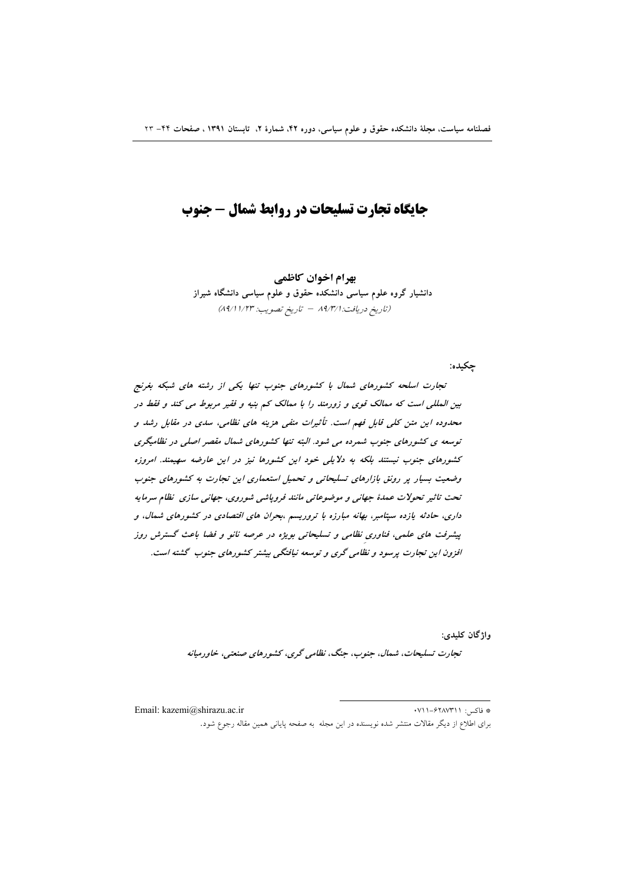# جایگاه تجارت تسلیحات در روابط شمال - جنوب

بھرام اخوان کاظمے دانشیار گروه علوم سیاسی دانشکده حقوق و علوم سیاسی دانشگاه شیراز (تاريخ دريافت: ١٩/٣/١ - تاريخ تصويب: ١/٢٣/ ٨٩/١)

جكيده:

تجارت اسلحه کشورهای شمال با کشورهای جنوب تنها یکی از رشته های شبکه بغرنج بین المللی است که ممالک قوی و زورمند را با ممالک کم بنیه و فقیر مربوط می کند و فقط در محدوده این متن کلی قابل فهم است. تأثیرات منفی هزینه های نظامی، سدی در مقابل رشد و توسعه ی کشورهای جنوب شمرده می شود. البته تنها کشورهای شمال مقصر اصلی در نظامیگری کشورهای جنوب نیستند بلکه به دلایلی خود این کشورها نیز در این عارضه سهیمند. امروزه وضعیت بسیار پر رونق بازارهای تسلیحاتی و تحمیل استعماری این تجارت به کشورهای جنوب تحت تاثیر تحولات عمدهٔ جهانی و موضوعاتی مانند فروپاشی شوروی، جهانی سازی نظام سرمایه داری، حادثه یازده سپتامبر، بهانه مبارزه با تروریسم ،بحران های اقتصادی در کشورهای شمال، و پیشرفت های علمی، فناوری نظامی و تسلیحاتی بویژه در عرصه نانو و فضا باعث گسترش روز افزون این تجارت پرسود و نظامی گری و توسعه نیافتگی بیشتر کشورهای جنوب گشته است.

واژگان کلیدی:

تجارت تسليحات، شمال، جنوب، جنگ، نظامی گری، كشورهای صنعتی، خاورميانه

\* فاكس: ۰۷۱۱–۶۲۸۷۳۱۱ Email: kazemi@shirazu.ac.ir برای اطلاع از دیگر مقالات منتشر شده نویسنده در این مجله به صفحه پایانی همین مقاله رجوع شود.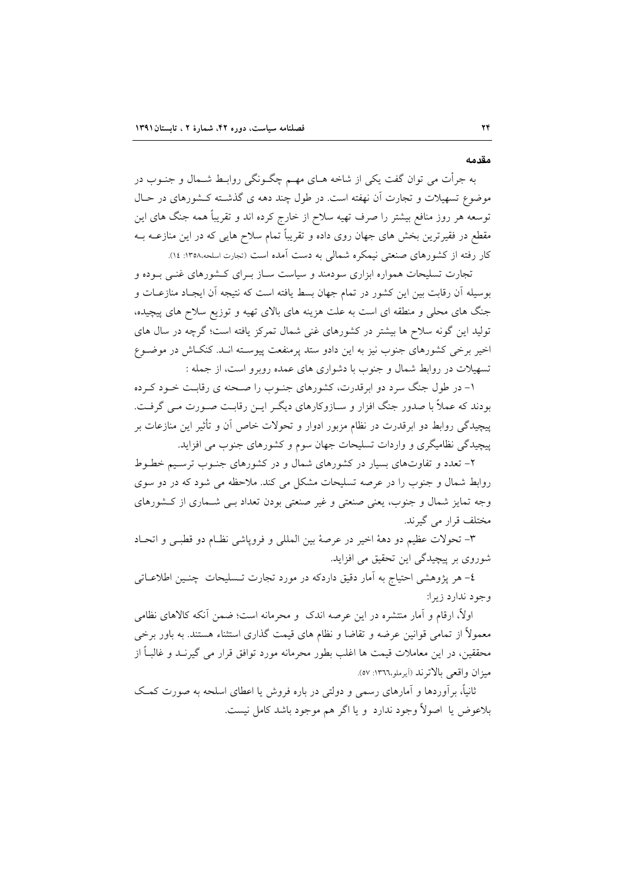مقدمه

به جرأت می توان گفت یکی از شاخه هــای مهــم چگــونگی روابــط شــمال و جنــوب در موضوع تسهیلات و تجارت آن نهفته است. در طول چند دهه ی گذشته کـشورهای در حـال توسعه هر روز منافع بیشتر را صرف تهیه سلاح از خارج کرده اند و تقریباً همه جنگ های این مقطع در فقیرترین بخش های جهان روی داده و تقریباً تمام سلاح هایی که در این منازعــه بــه کار رفته از کشورهای صنعتی نیمکره شمالی به دست آمده است (تجارت اسلحه،۱۳۵۸: ۱۶).

تجارت تسلیحات همواره ابزاری سودمند و سیاست سـاز بـرای کـشورهای غنـی بـوده و بوسیله آن رقابت بین این کشور در تمام جهان بسط یافته است که نتیجه آن ایجـاد منازعـات و جنگ های محلی و منطقه ای است به علت هزینه های بالای تهیه و توزیع سلاح های پیچیده، تولید این گونه سلاح ها بیشتر در کشورهای غنی شمال تمرکز یافته است؛ گرچه در سال های اخیر برخی کشورهای جنوب نیز به این دادو ستد پرمنفعت پیوسـته انـد. کنکـاش در موضـوع تسهیلات در روابط شمال و جنوب با دشواری های عمده روبرو است، از جمله :

۱- در طول جنگ سرد دو ابرقدرت، کشورهای جنـوب را صـحنه ی رقابـت خـود کـرده بودند که عملاً با صدور جنگ افزار و سـازوکارهای دیگـر ایـن رقابـت صـورت مـی گرفـت. پیچیدگی روابط دو ابرقدرت در نظام مزبور ادوار و تحولات خاص آن و تأثیر این منازعات بر پیچیدگی نظامیگری و واردات تسلیحات جهان سوم و کشورهای جنوب می افزاید.

۲- تعدد و تفاوتهای بسیار در کشورهای شمال و در کشورهای جنوب ترسیم خطـوط روابط شمال و جنوب را در عرصه تسلیحات مشکل می کند. ملاحظه می شود که در دو سوی وجه تمایز شمال و جنوب، یعنی صنعتی و غیر صنعتی بودن تعداد بـی شـماری از کـشورهای مختلف قرار می گیرند.

٣- تحولات عظيم دو دههٔ اخير در عرصهٔ بين المللي و فروياشي نظـام دو قطبـي و اتحـاد شوروی بر پیچیدگی این تحقیق می افزاید.

٤– هر پژوهشي احتياج به اَمار دقيق داردكه در مورد تجارت تـسليحات چنـين اطلاعــاتـي وجود ندارد زيرا:

اولاً، ارقام و آمار منتشره در این عرصه اندک و محرمانه است؛ ضمن آنکه کالاهای نظامی معمولاً از تمامی قوانین عرضه و تقاضا و نظام های قیمت گذاری استثناء هستند. به باور برخی محققین، در این معاملات قیمت ها اغلب بطور محرمانه مورد توافق قرار می گیرنــد و غالبــاً از ميزان واقعي بالاترند (أيرملو،١٣٦٦: ٥٧).

ثانیاً، برِآوردها و آمارهای رسمی و دولتی در باره فروش یا اعطای اسلحه به صورت کمک بلاعوض يا اصولاً وجود ندارد و يا اگر هم موجود باشد كامل نيست.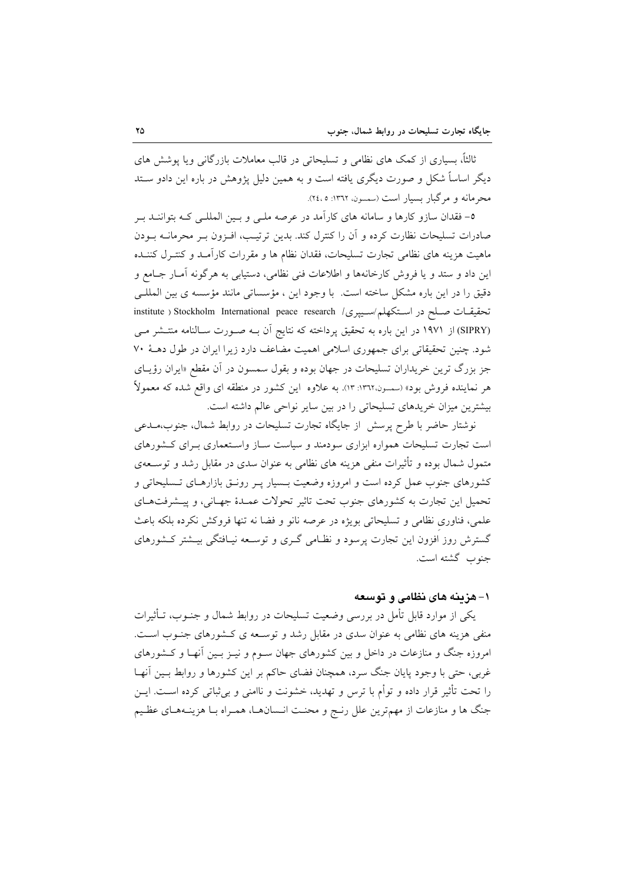ثالثاً، بسیاری از کمک های نظامی و تسلیحاتی در قالب معاملات بازرگانی ویا پوشش های دیگر اساساً شکل و صورت دیگری یافته است و به همین دلیل پژوهش در باره این دادو سـتد محرمانه و مرگبار بسیار است (سمسون، ۱۳٦۲: ۲٤،۵).

٥- فقدان سازو كارها و سامانه هاى كارآمد در عرصه ملـى و بـين المللـى كـه بتواننــد بـر صادرات تسليحات نظارت كرده و آن را كنترل كند. بدين ترتيب، افـزون بـر محرمانــه بــودن ماهیت هزینه های نظامی تجارت تسلیحات، فقدان نظام ها و مقررات کارآمـد و کنتـرل کننـده این داد و ستد و یا فروش کارخانهها و اطلاعات فنی نظامی، دستیابی به هرگونه آمـار جـامع و دقیق را در این باره مشکل ساخته است. با وجود این ، مؤسساتی مانند مؤسسه ی بین المللـی تحقيقـات صـلح در اسـتكهلم/سـيبرى/ institute ) Stockholm International peace research (SIPRY) از ۱۹۷۱ در این باره به تحقیق پرداخته که نتایج آن بـه صـورت سـالنامه منتـشر مـی شود. چنین تحقیقاتی برای جمهوری اسلامی اهمیت مضاعف دارد زیرا ایران در طول دهـهٔ ۷۰ جز بزرگ ترین خریداران تسلیحات در جهان بوده و بقول سمسون در آن مقطع «ایران رؤیـای هر نماینده فروش بود» (سمسون،۱۳٦۲: ۱۳). به علاوه این کشور در منطقه ای واقع شده که معمولاً بیشترین میزان خریدهای تسلیحاتی را در بین سایر نواحی عالم داشته است.

نوشتار حاضر با طرح پرسش از جایگاه تجارت تسلیحات در روابط شمال، جنوب،مـدعی است تجارت تسلیحات همواره ابزاری سودمند و سیاست سـاز واسـتعماری بـرای کـشورهای متمول شمال بوده و تأثیرات منفی هزینه های نظامی به عنوان سدی در مقابل رشد و توســعهی کشورهای جنوب عمل کرده است و امروزه وضعیت بـسیار پـر رونــق بازارهــای تــسلیحاتی و تحميل اين تجارت به كشورهاي جنوب تحت تاثير تحولات عمـدۀ جهـاني، و پيــشرفتهـاي علمی، فناوری نظامی و تسلیحاتی بویژه در عرصه نانو و فضا نه تنها فروکش نکرده بلکه باعث گسترش روز افزون این تجارت پرسود و نظـامی گـری و توسـعه نیـافتگی بیـشتر کـشورهای جنوب گشته است.

## ۱–هزینه های نظامی و توسعه

یکی از موارد قابل تأمل در بررسی وضعیت تسلیحات در روابط شمال و جنــوب، تــأثیرات منفی هزینه های نظامی به عنوان سدی در مقابل رشد و توسعه ی کشورهای جنـوب اسـت. امروزه جنگ و منازعات در داخل و بین کشورهای جهان سـوم و نیـز بـین آنهـا و کــشورهای غربي، حتى با وجود پايان جنگ سرد، همچنان فضاي حاكم بر اين كشورها و روابط بـين آنهــا را تحت تأثیر قرار داده و توأم با ترس و تهدید، خشونت و ناامنی و بی¢باتی کرده اسـت. ایــن جنگ ها و منازعات از مهمترین علل رنج و محنت انـسانهـا، همـراه بـا هزینـههـای عظـیم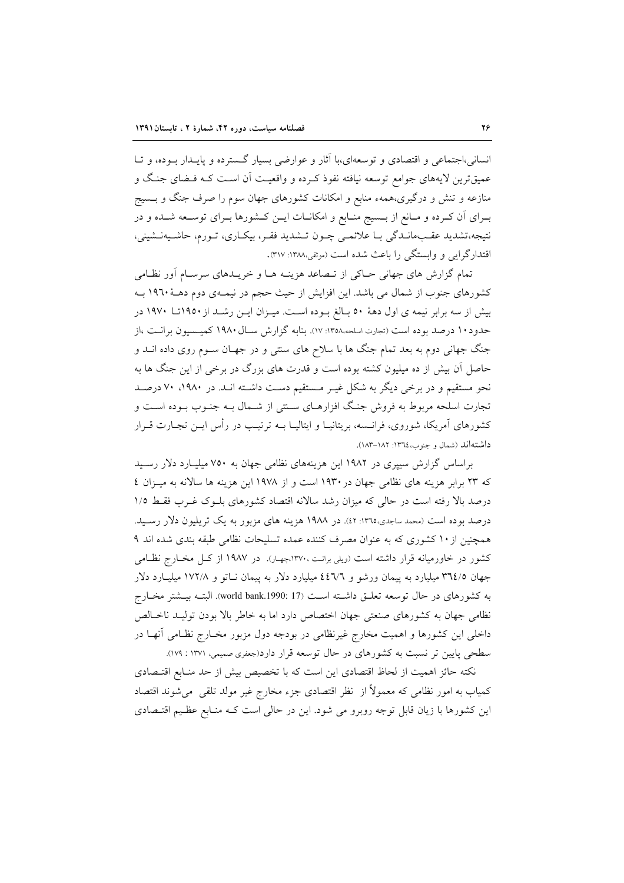انسانی،اجتماعی و اقتصادی و توسعهای،با آثار و عوارضی بسیار گسترده و پایـدار بـوده، و تـا عمیقترین لایههای جوامع توسعه نیافته نفوذ کـرده و واقعیـت أن اسـت کـه فـضای جنـگ و منازعه و تنش و درگیری،همهء منابع و امکانات کشورهای جهان سوم را صرف جنگ و بــسیج بـرای آن کـرده و مـانع از بــسیج منــابع و امکانــات ایــن کــشورها بــرای توســعه شــده و در نتیجه،تشدید عقـبمانـدگی بـا علائمـی چـون تـشدید فقـر، بیکـاری، تـورم، حاشـیهنـشینی، اقتدارگرایی و وابستگی را باعث شده است (موثقی،۱۳۸۸: ۳۱۷).

تمام گزارش های جهانی حـاکی از تـصاعد هزینـه هـا و خریـدهای سرسـام آور نظـامی کشورهای جنوب از شمال می باشد. این افزایش از حیث حجم در نیمـهی دوم دهـۀ ۱۹٦۰ بـه بیش از سه برابر نیمه ی اول دههٔ ٥٠ بـالغ بـوده اسـت. میـزان ایـن رشـد از ١٩٥٠تـا ١٩٧٠ در حدود ۱۰ درصد بوده است (تجارت اسلحه ۱۳۵۸: ۱۷). بنابه گزارش سـال ۱۹۸۰ کمیـسیون برانـت ،از جنگ جهانی دوم به بعد تمام جنگ ها با سلاح های سنتی و در جهـان سـوم روی داده انــد و حاصل آن بیش از ده میلیون کشته بوده است و قدرت های بزرگ در برخی از این جنگ ها به نحو مستقیم و در برخی دیگر به شکل غیـر مـستقیم دسـت داشـته انـد. در ۱۹۸۰، ۷۰ درصـد تجارت اسلحه مربوط به فروش جنگ افزارهـاي سـنتي از شـمال بـه جنـوب بـوده اسـت و کشورهای آمریکا، شوروی، فرانــسه، بریتانیــا و ایتالیــا بــه ترتیــب در رأس ایــن تجــارت قــرار داشته اند (شمال و جنوب،١٣٦٤: ١٨٢-١٨٣).

براساس گزارش سیپری در ۱۹۸۲ این هزینههای نظامی جهان به ۷۵۰ میلیارد دلار رسید که ۲۳ برابر هزینه های نظامی جهان در ۱۹۳۰ است و از ۱۹۷۸ این هزینه ها سالانه به میـزان ٤ درصد بالا رفته است در حالی که میزان رشد سالانه اقتصاد کشورهای بلـوک غـرب فقـط ۱/۵ درصد بوده است (محمد ساجدی،١٣٦٥: ٤٢). در ١٩٨٨ هزينه هاي مزبور به يک تريليون دلار رسـيد. همچنین از ۱۰ کشوری که به عنوان مصرف کننده عمده تسلیحات نظامی طبقه بندی شده اند ۹ کشور در خاورمیانه قرار داشته است (ویلی برانت،۱۳۷۰،چهار). در ۱۹۸۷ از کـل مخـارج نظـامی جهان ٣٦٤/٥ میلیارد به پیمان ورشو و ٤٤٦/٦ میلیارد دلار به پیمان نـاتو و ١٧٢/٨ میلیـارد دلار به کشورهای در حال توسعه تعلیق داشته است (17 :world bank.1990). البتـه بیــشتر مخــارج نظام ٍ جهان به كشورهاى صنعتى جهان اختصاص دارد اما به خاطر بالا بودن توليـد ناخـالص داخلی این کشورها و اهمیت مخارج غیرنظامی در بودجه دول مزبور مخـارج نظـامی آنهـا در سطحی پایین تر نسبت به کشورهای در حال توسعه قرار دارد(جعفری صمیمی، ۱۳۷۱ : ۱۷۹).

نكته حائز اهميت از لحاظ اقتصادي اين است كه با تخصيص بيش از حد منـابع اقتـصادي کمیاب به امور نظامی که معمولاً از نظر اقتصادی جزء مخارج غیر مولد تلقی ًمیشوند اقتصاد این کشورها با زیان قابل توجه روبرو می شود. این در حالی است کـه منـابع عظـیم اقتـصادی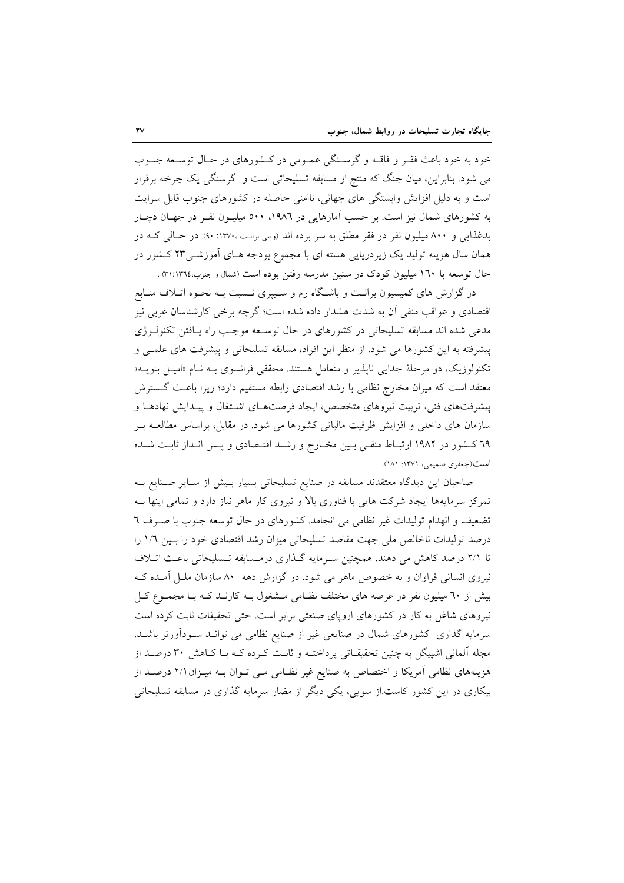خود به خود باعث فقر و فاقـه و گرسـنگی عمـومی در کـشورهای در حـال توسـعه جنـوب می شود. بنابراین، میان جنگ که منتج از مسابقه تسلیحاتی است و گرسنگی یک چرخه برقرار است و به دلیل افزایش وابستگی های جهانی، ناامنی حاصله در کشورهای جنوب قابل سرایت به کشورهای شمال نیز است. بر حسب آمارهایی در ۱۹۸۲، ۵۰۰ میلیـون نفـر در جهـان دچـار بدغذایی و ۸۰۰ میلیون نفر در فقر مطلق به سر برده اند (ویلی برانت ،۱۳۷۰: ۹۰). در حـالی کــه در همان سال هزینه تولید یک زیردریایی هسته ای با مجموع بودجه هـای اَموزشــی۲۳ کـشور در حال توسعه با ۱٦۰ میلیون کودک در سنین مدرسه رفتن بوده است (شمال و جنوب،١٣٦٤٪.

در گزارش های کمیسیون برانت و باشگاه رم و سـییری نـسبت بـه نحـوه اتـلاف منـابع اقتصادی و عواقب منفی آن به شدت هشدار داده شده است؛ گرچه برخی کارشناسان غربی نیز مدعی شده اند مسابقه تسلیحاتی در کشورهای در حال توسعه موجب راه پافتن تکنولـوژی پیشرفته به این کشورها می شود. از منظر این افراد، مسابقه تسلیحاتی و پیشرفت های علمـی و تکنولوزیک، دو مرحلهٔ جدای<sub>م</sub> ناپذیر و متعامل هستند. محققی فرانسوی بـه نـام «امیـل بنویــه» معتقد است که میزان مخارج نظامی با رشد اقتصادی رابطه مستقیم دارد؛ زیرا باعث گسترش پیشرفتهای فنی، تربیت نیروهای متخصص، ایجاد فرصتهای اشتغال و پیـدایش نهادهـا و سازمان های داخلی و افزایش ظرفیت مالیاتی کشورها می شود. در مقابل، براساس مطالعـه بـر ٦٩ كـشور در ١٩٨٢ ارتبـاط منفـى بـين مخـارج و رشـد اقتـصادى و پـس انـداز ثابـت شـده است(جعفري صميمي، ١٣٧١: ١٨١).

صاحبان این دیدگاه معتقدند مسابقه در صنایع تسلیحاتی بسیار بـیش از سـایر صـنایع بـه تمرکز سرمایهها ایجاد شرکت هایی با فناوری بالا و نیروی کار ماهر نیاز دارد و تمامی اینها بـه تضعیف و انهدام تولیدات غیر نظامی می انجامد. کشورهای در حال توسعه جنوب با صـرف ٦ درصد تولیدات ناخالص ملی جهت مقاصد تسلیحاتی میزان رشد اقتصادی خود را بـین ١/٦ را تا ۲/۱ درصد کاهش می دهند. همچنین سرمایه گـذاری درمـسابقه تـسلیحاتی باعـث اتـلاف نیروی انسانی فراوان و به خصوص ماهر می شود. در گزارش دهه ۸۰ سازمان ملـل آمـده کـه بیش از ٦٠ میلیون نفر در عرصه های مختلف نظـامی مـشغول بـه کارنـد کـه بـا مجمـوع کـل نیروهای شاغل به کار در کشورهای اروپای صنعتی برابر است. حتی تحقیقات ثابت کرده است سرمایه گذاری کشورهای شمال در صنایعی غیر از صنایع نظامی می توانـد سـودآورتر باشـد. مجله آلمانی اشپیگل به چنین تحقیقـاتی پرداختــه و ثابـت کــرده کــه بــا کــاهش ۳۰ درصــد از هزینههای نظامی آمریکا و اختصاص به صنایع غیر نظـامی مـی تـوان بـه میـزان ۲/۱ درصـد از بیکاری در این کشور کاست.از سویی، یکی دیگر از مضار سرمایه گذاری در مسابقه تسلیحاتی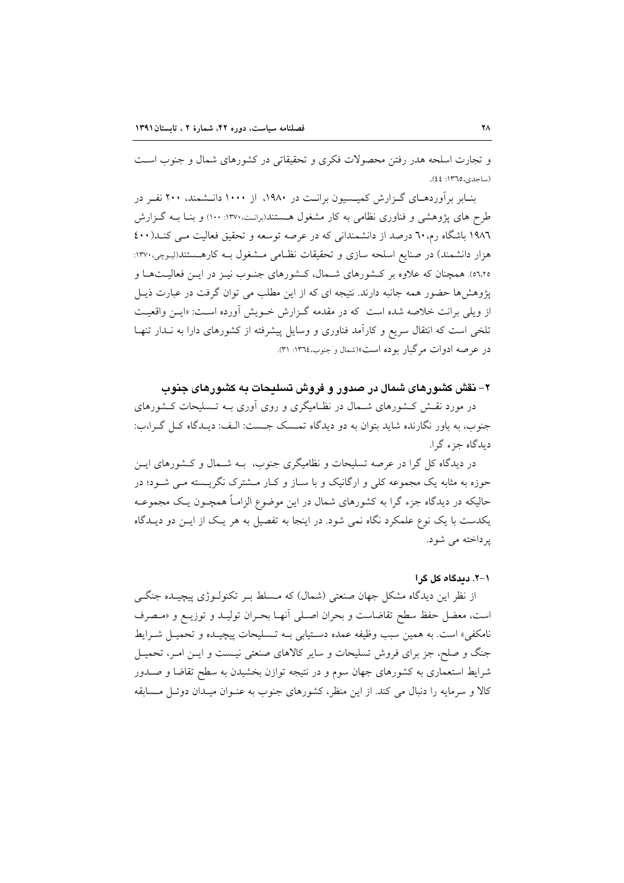و تجارت اسلحه هدر رفتن محصولات فکری و تحقیقاتی در کشورهای شمال و جنوب است (ساجدي، ١٣٦٥: ٤٤).

بنـابر برآوردهـای گــزارش کمیــسیون برانــت در ۱۹۸۰، از ۱۰۰۰ دانــشمند، ۲۰۰ نفــر در طرح های پژوهشی و فناوری نظامی به کار مشغول هستند(برانت،۱۳۷۰ : ۱۰۰) و بنـا بـه گـزارش ۱۹۸٦ باشگاه رم، ٦٠ درصد از دانشمندانی که در عرصه توسعه و تحقیق فعالیت مـی کنـد(٤٠٠ هزار دانشمند) در صنایع اسلحه سازی و تحقیقات نظـامی مـشغول بــه کارهــستند(لیـوجی،۱۳۷۰: ه۲،۲ه). همچنان که علاوه بر کشورهای شـمال، کـشورهای جنـوب نیـز در ایـن فعالیـتهـا و یژوهش ها حضور همه جانبه دارند. نتیجه ای که از این مطلب می توان گرفت در عبارت ذیـل از ویلی برانت خلاصه شده است که در مقدمه گـزارش خـویش آورده اسـت: «ایـن واقعیـت تلخی است که انتقال سریع و کارآمد فناوری و وسایل پیشرفته از کشورهای دارا به نـدار تنهـا در عرصه ادوات مرگبار بوده است»(شمال و جنوب،١٣٦٤: ٣١).

۲– نقش کشورهای شمال در صدور و فروش تسلیحات به کشورهای جنوب

در مورد نقـش کـشورهای شـمال در نظـامیگری و روی آوری بــه تـسلیحات کـشورهای جنوب، به باور نگارنده شاید بتوان به دو دیدگاه تمـسک جـست: الـف: دیـدگاه کـل گـرا،ب: ديدگاه جزء گرا.

در دیدگاه کل گرا در عرصه تسلیحات و نظامیگری جنوب، بـه شـمال و کـشورهای ایـن حوزه به مثابه یک مجموعه کلی و ارگانیک و با سـاز و کـار مــشترک نگریــسته مــی شــود؛ در حالیکه در دیدگاه جزء گرا به کشورهای شمال در این موضوع الزامـاً همچــون یـک مجموعــه یکدست با یک نوع علمکرد نگاه نمی شود. در اینجا به تفصیل به هر یک از ایـن دو دیـدگاه پرداخته می شود.

#### ١-٢. ديدگاه کل گرا

از نظر این دیدگاه مشکل جهان صنعتی (شمال) که مـسلط بـر تکنولـوژی پیچیـده جنگــم است، معضل حفظ سطح تقاضاست و بحران اصلي أنهـا بحـران توليـد و توزيـع و «مـصرف نامكفي» است. به همين سبب وظيفه عمده دسـتيابي بـه تـسليحات پيچيـده و تحميـل شـرايط جنگ و صلح، جز برای فروش تسلیحات و سایر کالاهای صنعتی نیست و ایــن امــر، تحمیــل شرایط استعماری به کشورهای جهان سوم و در نتیجه توازن بخشیدن به سطح تقاضا و صــدور کالا و سرمایه را دنبال می کند. از این منظر، کشورهای جنوب به عنـوان میـدان دوئـل مـسابقه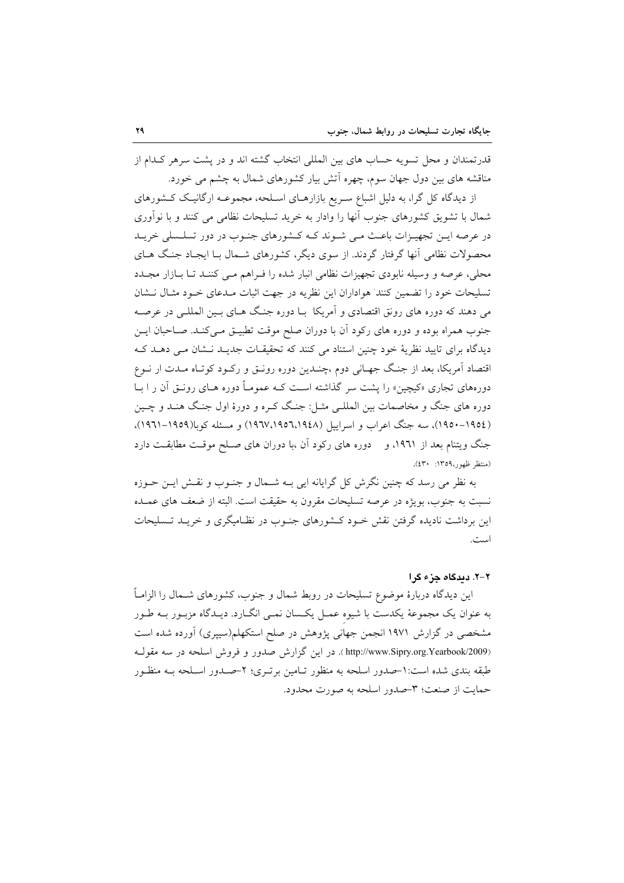قدرتمندان و محل تسویه حساب های بین المللی انتخاب گشته اند و در پشت سرهر کـدام از مناقشه های بین دول جهان سوم، چهره اّتش بیار کشورهای شمال به چشم می خورد.

از دیدگاه کل گرا، به دلیل اشباع سـریع بازارهـای اسـلحه، مجموعـه ارگانیـک کـشورهای شمال با تشویق کشورهای جنوب آنها را وادار به خرید تسلیحات نظامی می کنند و با نوآوری در عرصه ایـن تجهیـزات باعـث مـی شـوند کـه کـشورهای جنـوب در دور تسلـسلی خریـد محصولات نظامی آنها گرفتار گردند. از سوی دیگر، کشورهای شـمال بـا ایجـاد جنـگ هــای محلی، عرصه و وسیله نابودی تجهیزات نظامی انبار شده را فـراهم مـی کننـد تـا بـازار مجـدد تسلیحات خود را تضمین کنند هواداران این نظریه در جهت اثبات مـدعای خـود مثـال نــشان می دهند که دوره های رونق اقتصادی و آمریکا بـا دوره جنگ هـای بـین المللـی در عرصـه جنوب همراه بوده و دوره های رکود آن با دوران صلح موقت تطبیــق مــیکنــد. صــاحبان ایــن دیدگاه برای تایید نظریهٔ خود چنین استناد می کنند که تحقیقیات جدیبد نسشان می دهید ک اقتصاد آمریکا، بعد از جنگ جهـانی دوم ،چنـدین دوره رونـق و رکـود کوتـاه مـدت ار نـوع دورههای تجاری «کیچین» را پشت سر گذاشته اسـت کــه عمومـاً دوره هــای رونــق آن ر ا بــا دوره های جنگ و مخاصمات بین المللـی مثـل: جنـگ کـره و دورهٔ اول جنـگ هنـد و چـین (١٩٥٤–١٩٥٠)، سه جنگ اعراب و اسراييل (١٩٤٨،١٩٥٦،١٩٦٧) و مسئله كوبا(١٩٥٩–١٩٦١). جنگ ویتنام بعد از ۱۹۶۱، و دوره های رکود آن ،با دوران های صلح موقت مطابقت دارد (منتظر ظهور،١٣٥٩: ٤٣٠).

به نظر می رسد که چنین نگرش کل گرایانه ایی بـه شــمال و جنــوب و نقــش ایــن حــوزه نسبت به جنوب، بویژه در عرصه تسلیحات مقرون به حقیقت است. البته از ضعف های عمـده این برداشت نادیده گرفتن نقش خـود کـشورهای جنـوب در نظـامیگری و خریـد تـسلیحات است.

#### ٢-٢. دىدگاه جزء گرا

این دیدگاه دربارهٔ موضوع تسلیحات در روبط شمال و جنوب، کشورهای شــمال را الزامــاً به عنوان یک مجموعهٔ یکدست با شیوه عمـل یکـسان نمـی انگـارد. دیـدگاه مزبـور بــه طـور مشخصی در گزارش ۱۹۷۱ انجمن جهانی پژوهش در صلح استکهلم(سیپری) آورده شده است (http://www.Sipry.org.Yearbook/2009). در این گزارش صدور و فروش اسلحه در سه مقول طبقه بندی شده است: ۱-صدور اسلحه به منظور تـامین برتـری؛ ۲-صـدور اسـلحه بــه منظـور حمايت از صنعت؛ ٣-صدور اسلحه به صورت محدود.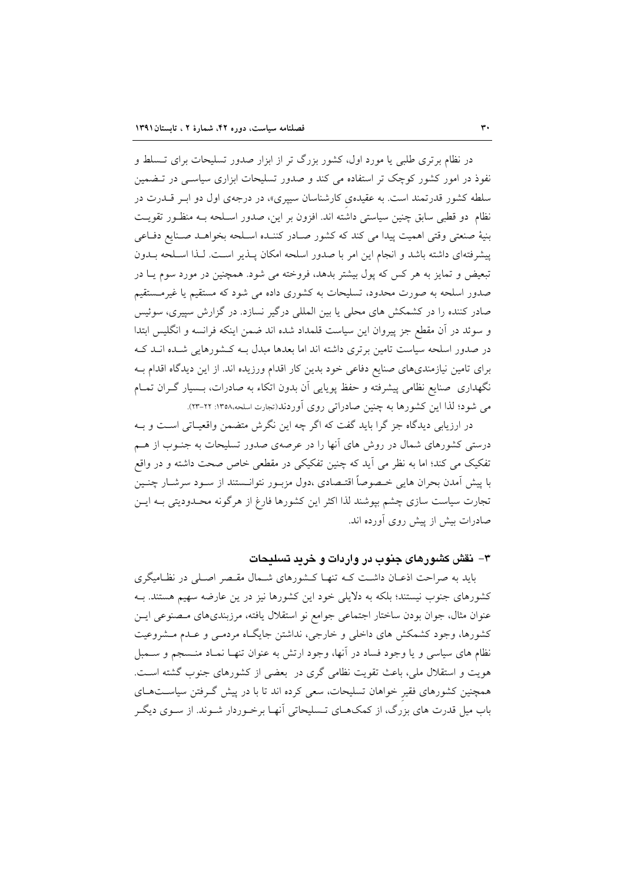در نظام برتری طلبی یا مورد اول، کشور بزرگ تر از ابزار صدور تسلیحات برای تـسلط و نفوذ در امور کشور کوچک تر استفاده می کند و صدور تسلیحات ابزاری سیاسبی در تـضمین سلطه کشور قدرتمند است. به عقیدهی کارشناسان سیپری»، در درجهی اول دو ابـر قــدرت در نظام دو قطبی سابق چنین سیاستی داشته اند. افزون بر این، صدور اسـلحه بـه منظـور تقویـت بنيهٔ صنعتی وقتی اهميت پيدا می كند كه كشور صـادر كننـده اسـلحه بخواهـد صـنايع دفـاعی پیشرفتهای داشته باشد و انجام این امر با صدور اسلحه امکان پـذیر اسـت. لـذا اسـلحه بـدون تبعیض و تمایز به هر کس که پول بیشتر بدهد، فروخته می شود. همچنین در مورد سوم یـا در صدور اسلحه به صورت محدود، تسلیحات به کشوری داده می شود که مستقیم یا غیرمستقیم صادر کننده را در کشمکش های محلی یا بین المللی درگیر نسازد. در گزارش سپیری، سوئیس و سوئد در آن مقطع جز پیروان این سیاست قلمداد شده اند ضمن اینکه فرانسه و انگلیس ابتدا در صدور اسلحه سیاست تامین برتری داشته اند اما بعدها مبدل بـه کـشورهایی شـده انــد کــه برای تامین نیازمندیهای صنایع دفاعی خود بدین کار اقدام ورزیده اند. از این دیدگاه اقدام بــه نگهداری صنایع نظامی پیشرفته و حفظ پویایی آن بدون اتکاء به صادرات، بـسیار گـران تمـام می شود؛ لذا این کشورها به چنین صادراتی روی اَوردند(تجارت اسلحه،۱۳۵۸: ۲۲-۲۳).

در ارزیابی دیدگاه جز گرا باید گفت که اگر چه این نگرش متضمن واقعیـاتی اسـت و بـه درستی کشورهای شمال در روش های آنها را در عرصهی صدور تسلیحات به جنـوب از هـم تفکیک می کند؛ اما به نظر می آید که چنین تفکیکی در مقطعی خاص صحت داشته و در واقع با پیش آمدن بحران هایی خـصوصاً اقتـصادی ،دول مزبــور نتوانــستند از ســود سرشــار چنــین تجارت سیاست سازی چشم بیوشند لذا اکثر این کشورها فارغ از هرگونه محـدودیتی بــه ایــن صادرات بیش از پیش روی آورده اند.

## ۳– نقش کشورهای جنوب در واردات و خرید تسلیحات

باید به صراحت اذعـان داشـت کـه تنهـا کـشورهای شـمال مقـصر اصـلی در نظـامیگری کشورهای جنوب نیستند؛ بلکه به دلایلی خود این کشورها نیز در ین عارضه سهیم هستند. بـه عنوان مثال، جوان بودن ساختار اجتماعي جوامع نو استقلال يافته، مرزبنديهاي مصنوعي ايـن کشورها، وجود کشمکش های داخلی و خارجی، نداشتن جایگـاه مردمـی و عـدم مـشروعیت نظام های سیاسی و یا وجود فساد در آنها، وجود ارتش به عنوان تنهـا نمـاد منـسجم و سـمبل هويت و استقلال ملي، باعث تقويت نظامي گري در بعضي از كشورهاي جنوب گشته است. همچنین کشورهای فقیر خواهان تسلیحات، سعی کرده اند تا با در پیش گـرفتن سیاسـتهـای باب میل قدرت های بزرگ، از کمکهـای تـسلیحاتی آنهـا برخـوردار شـوند. از سـوی دیگـر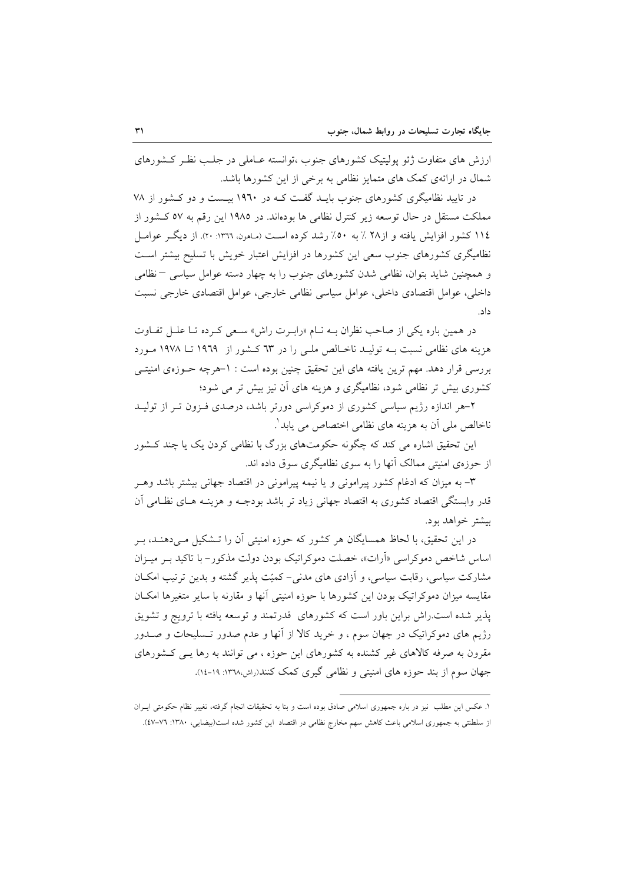ارزش های متفاوت ژئو پولیتیک کشورهای جنوب ،توانسته عـاملی در جلـب نظـر کـشورهای شمال در ارائهی کمک های متمایز نظامی به برخی از این کشورها باشد.

در تایید نظامیگری کشورهای جنوب بایـد گفت کـه در ۱۹٦۰ بیـست و دو کـشور از ۷۸ مملکت مستقل در حال توسعه زیر کنترل نظامی ها بودهاند. در ۱۹۸۵ این رقم به ۵۷ کـشور از ١١٤ كشور افزايش يافته و از٢٨ ٪ به ٥٠٪ رشد كرده است (ساهون. ١٣٦٢: ٢٠). از ديگـر عوامـل نظامیگری کشورهای جنوب سعی این کشورها در افزایش اعتبار خویش با تسلیح بیشتر است و همچنین شاید بتوان، نظامی شدن کشورهای جنوب را به چهار دسته عوامل سیاسی – نظامی داخلی، عوامل اقتصادی داخلی، عوامل سیاسی نظامی خارجی، عوامل اقتصادی خارجی نسبت داد.

در همین باره یکی از صاحب نظران بـه نـام «رابـرت راش» سـعی کـرده تـا علـل تفـاوت هزینه های نظامی نسبت بـه تولیـد ناخـالص ملـی را در ٦٣ کـشور از ١٩٦٩ تــا ١٩٧٨ مـورد بررسی قرار دهد. مهم ترین یافته های این تحقیق چنین بوده است : ١-هرچه حـوزهی امنیتـی کشوری بیش تر نظامی شود، نظامیگری و هزینه های آن نیز بیش تر می شود؛

۲–هر اندازه رژیم سیاسی کشوری از دموکراسی دورتر باشد، درصدی فـزون تـر از تولیــد ناخالص ملي آن به هزينه هاي نظامي اختصاص مي يابد ٰ.

این تحقیق اشاره می کند که چگونه حکومتهای بزرگ با نظامی کردن یک یا چند کــشور از حوزهی امنیتی ممالک آنها را به سوی نظامیگری سوق داده اند.

۳- به میزان که ادغام کشور پیرامونی و یا نیمه پیرامونی در اقتصاد جهانی بیشتر باشد وهـر قدر وابستگی اقتصاد کشوری به اقتصاد جهانی زیاد تر باشد بودجـه و هزینـه هـای نظـامی آن بیشتر خواهد بود.

در این تحقیق، با لحاظ همسایگان هر کشور که حوزه امنیتی آن را تـشکیل مـیدهنـد، بـر اساس شاخص دموکراسی «آرات»، خصلت دموکراتیک بودن دولت مذکور- با تاکید بـر میـزان مشارکت سیاسی، رقابت سیاسی، و آزادی های مدنی-کمیّت پذیر گشته و بدین ترتیب امکـان مقايسه ميزان دموكراتيك بودن اين كشورها با حوزه امنيتي آنها و مقارنه با ساير متغيرها امكــان یذیر شده است.راش براین باور است که کشورهای قدرتمند و توسعه یافته با ترویج و تشویق رژیم های دموکراتیک در جهان سوم ، و خرید کالا از آنها و عدم صدور تـسلیحات و صـدور مقرون به صرفه کالاهای غیر کشنده به کشورهای این حوزه ، می توانند به رها یـبی کـشورهای جهان سوم از بند حوزه های امنیتی و نظامی گیری کمک کنند(راش،۱۳۷۸: ۱۹-۱٤).

١. عكس اين مطلب نيز در باره جمهوري اسلامي صادق بوده است و بنا به تحقيقات انجام گرفته، تغيير نظام حكومتي ايــران از سلطنتی به جمهوری اسلامی باعث کاهش سهم مخارج نظامی در اقتصاد این کشور شده است(بیضایی، ۱۳۸۰: ۷۲-٤۷).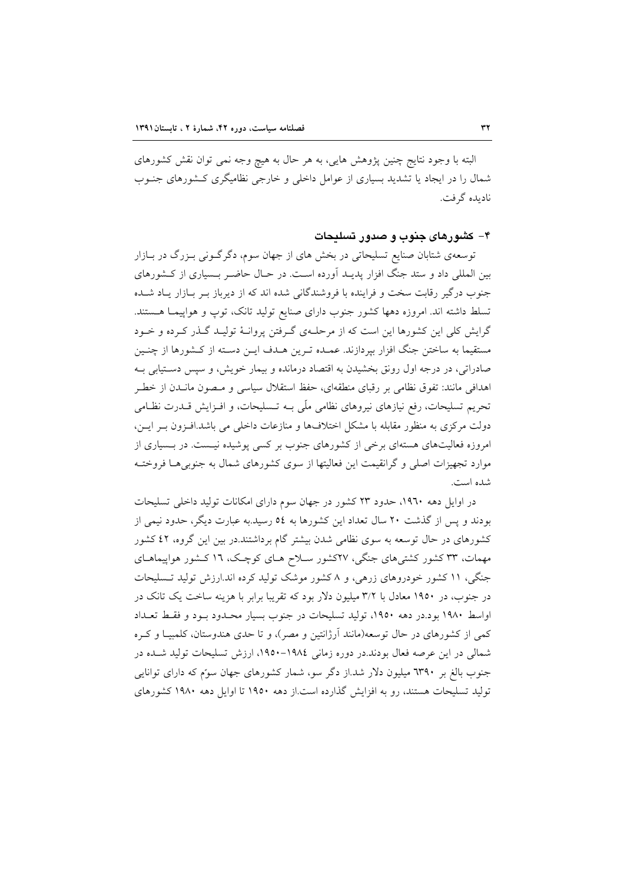البته با وجود نتايج چنين پژوهش هايي، به هر حال به هيچ وجه نمي توان نقش كشورهاي شمال را در ایجاد یا تشدید بسیاری از عوامل داخلی و خارجی نظامیگری کـشورهای جنــوب نادىدە گرفت.

### ۴– کشورهای جنوب و صدور تسلیحات

توسعهی شتابان صنایع تسلیحاتی در بخش های از جهان سوم، دگرگـونی بـزرگ در بـازار بین المللی داد و ستد جنگ افزار پدیـد آورده اسـت. در حـال حاضـر بـسیاری از کـشورهای جنوب درگیر رقابت سخت و فراینده با فروشندگانی شده اند که از دیرباز بـر بـازار یـاد شـده تسلط داشته اند. امروزه دهها كشور جنوب داراي صنايع توليد تانك، توپ و هواپيمـا هـستند. گرایش کلی این کشورها این است که از مرحلـهی گـرفتن پروانـهٔ تولیـد گـذر کـرده و خـود مستقیما به ساختن جنگ افزار بیردازند. عمـده تـرین هـدف ایـن دسـته از کـشورها از چنـین صادراتي، در درجه اول رونق بخشيدن به اقتصاد درمانده و بيمار خويش، و سپس دستيابي بـه اهدافی مانند: تفوق نظامی بر رقبای منطقهای، حفظ استقلال سیاسی و مـصون مانــدن از خطـر تحریم تسلیحات، رفع نیازهای نیروهای نظامی ملّی بــه تــسلیحات، و افــزایش قــدرت نظــامی دولت مرکزی به منظور مقابله با مشکل اختلافها و منازعات داخلی می باشد.افـزون بـر ایـن، امروزه فعالیتهای هستهای برخی از کشورهای جنوب بر کسی پوشیده نیست. در بـسیاری از موارد تجهیزات اصلی و گرانقیمت این فعالیتها از سوی کشورهای شمال به جنوبی هـا فروختـه شده است.

در اوایل دهه ۱۹٦۰، حدود ۲۳ کشور در جهان سوم دارای امکانات تولید داخلی تسلیحات بودند و پس از گذشت ۲۰ سال تعداد این کشورها به ٥٤ رسید.به عبارت دیگر، حدود نیمی از کشورهای در حال توسعه به سوی نظامی شدن بیشتر گام برداشتند.در بین این گروه، ٤٢ کشور مهمات، ۳۳ کشور کشتیهای جنگی، ۲۷کشور سلاح هـای کوچـک، ۱۲ کـشور هواپیماهـای جنگی، ١١ كشور خودروهای زرهی، و ٨ كشور موشك توليد كرده اند.ارزش توليد تـسليحات در جنوب، در ۱۹۵۰ معادل با ۳/۲ میلیون دلار بود که تقریبا برابر با هزینه ساخت یک تانک در اواسط ۱۹۸۰ بود.در دهه ۱۹۵۰، تولید تسلیحات در جنوب بسیار محـدود بـود و فقـط تعـداد کمی از کشورهای در حال توسعه(مانند آرژانتین و مصر)، و تا حدی هندوستان، کلمبیـا و کــره شمالی در این عرصه فعال بودند.در دوره زمانی ۱۹۸٤-۱۹۵۰، ارزش تسلیحات تولید شـده در جنوب بالغ بر ٦٣٩٠ میلیون دلار شد.از دگر سو، شمار کشورهای جهان سوّم که دارای توانایی تولید تسلیحات هستند، رو به افزایش گذارده است.از دهه ۱۹۵۰ تا اوایل دهه ۱۹۸۰ کشورهای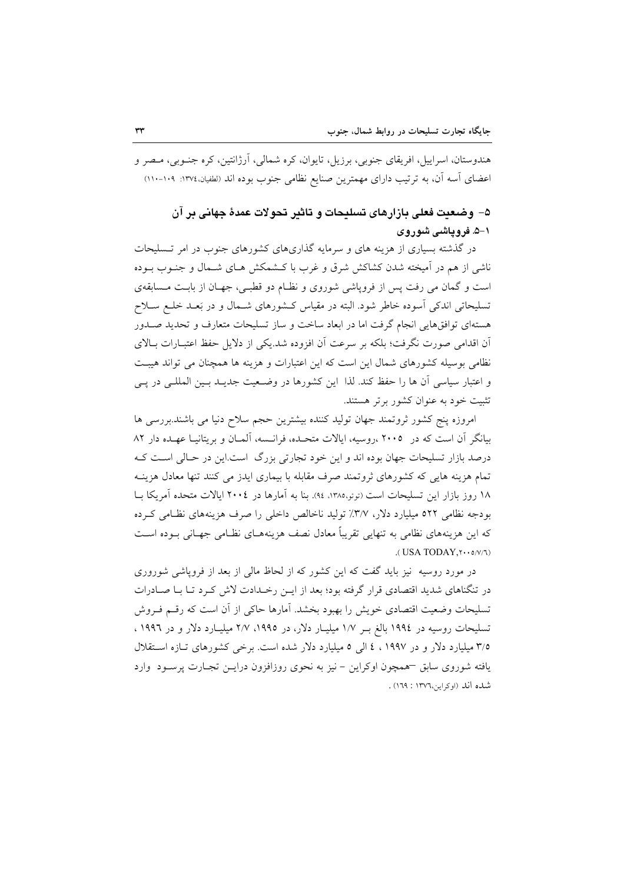هندوستان، اسراییل، افریقای جنوبی، برزیل، تایوان، کره شمالی، آرژانتین، کره جنـوبی، مـصر و اعضای أسه أن، به ترتیب دارای مهمترین صنایع نظامی جنوب بوده اند (لطفیان،١٣٧٤: ١١٠-١١٠١)

## ۵– وضعیت فعلی بازارهای تسلیحات و تاثیر تجولات عمدهٔ جهانی بر آن ۱–۵. فرویاشی شوروی

در گذشته بسیاری از هزینه های و سرمایه گذاریهای کشورهای جنوب در امر تـسلیحات ناشی از هم در آمیخته شدن کشاکش شرق و غرب با کـشمکش هـای شـمال و جنـوب بـوده است و گمان می رفت پس از فروپاشی شوروی و نظـام دو قطبـی، جهـان از بابـت مـسابقهی تسلیحاتی اندکی اَسوده خاطر شود. البته در مقیاس کشورهای شـمال و در بَعـد خلـع سـلاح هستهای توافقهایی انجام گرفت اما در ابعاد ساخت و ساز تسلیحات متعارف و تحدید صـدور أن اقدامی صورت نگرفت؛ بلکه بر سرعت أن افزوده شد.یکی از دلایل حفظ اعتبــارات بــالای نظامی بوسیله کشورهای شمال این است که این اعتبارات و هزینه ها همچنان می تواند هیبت و اعتبار سیاسی آن ها را حفظ کند. لذا این کشورها در وضعیت جدیـد بـین المللـی در پـی تثبیت خود به عنوان کشور برتر هستند.

امروزه ينج كشور ثروتمند جهان توليد كننده بيشترين حجم سلاح دنيا مي باشند.بررسي ها بیانگر آن است که در ۲۰۰۵ ،روسیه، ایالات متحـده، فرانــسه، آلمــان و بریتانیــا عهـده دار ۸۲ درصد بازار تسلیحات جهان بوده اند و این خود تجارتی بزرگ است.این در حـالی اسـت کـه تمام هزینه هایی که کشورهای ثروتمند صرف مقابله با بیماری ایدز می کنند تنها معادل هزینـه ۱۸ روز بازار این تسلیحات است (توتو،۱۳۸۵، ۹۶). بنا به آمارها در ۲۰۰٤ ایالات متحده آمریکا بــا بودجه نظامی ٥٢٢ میلیارد دلار، ٣/٧٪ تولید ناخالص داخلی را صرف هزینههای نظـامی کـرده که این هزینههای نظامی به تنهایی تقریباً معادل نصف هزینههــای نظــامی جهــانی بــوده اســت (USA TODAY . ٢٠٠٥/٧/٦)

در مورد روسیه نیز باید گفت که این کشور که از لحاظ مالی از بعد از فروپاشی شوروری در تنگناهای شدید اقتصادی قرار گرفته بود؛ بعد از ایـن رخـدادت لاش کـرد تـا بـا صـادرات تسلیحات وضعیت اقتصادی خویش را بهبود بخشد. آمارها حاکی از آن است که رقسم فـروش تسلیحات روسیه در ۱۹۹٤ بالغ بـر ۱/۷ میلیـار دلار، در ۱۹۹۵، ۲/۷ میلیـارد دلار و در ۱۹۹۲ ، ۳/۵ میلیارد دلار و در ۱۹۹۷ ، ٤ الی ٥ میلیارد دلار شده است. برخی کشورهای تبازه استقلال یافته شوروی سابق –همچون اوکراین – نیز به نحوی روزافزون درایــن تجـارت پرســود وارد شده اند (او کراین،۱۳۷٦ : ۱۶۹) .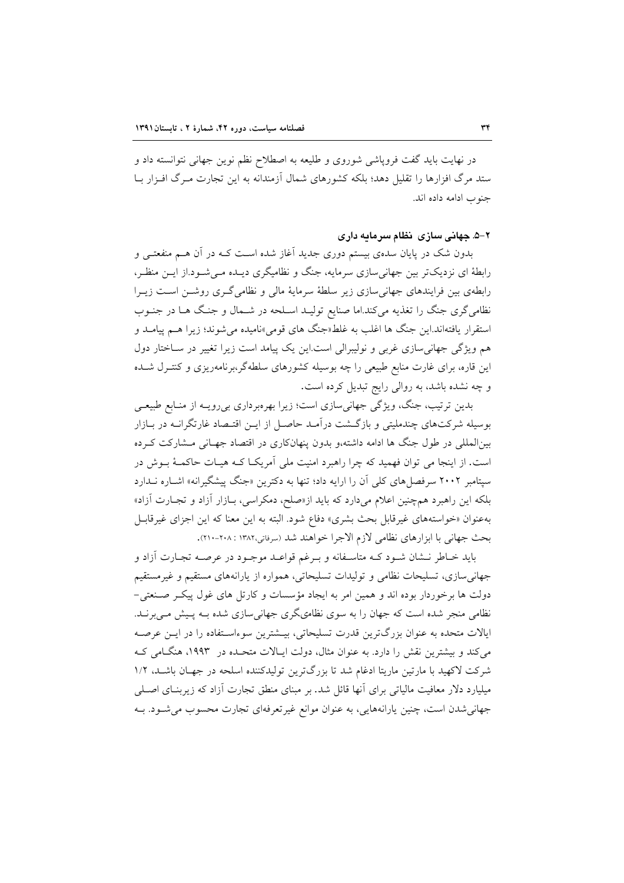در نهایت باید گفت فروپاشی شوروی و طلیعه به اصطلاح نظم نوین جهانی نتوانسته داد و ستد مرگ افزارها را تقلیل دهد؛ بلکه کشورهای شمال آزمندانه به این تجارت مـرگ افـزار بــا جنوب ادامه داده اند.

۲–۵. جهانی سازی انظام سرمایه داری

بدون شک در پایان سدهی بیستم دوری جدید آغاز شده اسـت کـه در آن هــم منفعتــی و رابطهٔ ای نزدیکتر بین جهانی سازی سرمایه، جنگ و نظامیگری دیـده مـی شـود.از ایـن منظـر، رابطهی بین فرایندهای جهانی سازی زیر سلطهٔ سرمایهٔ مالی و نظامی گـری روشـن اسـت زیـرا نظامیگری جنگ را تغذیه میکند.اما صنایع تولیـد اسـلحه در شـمال و جنـگ هــا در جنــوب استقرار يافتهاند.اين جنگ ها اغلب به غلط«جنگ هاي قومي»ناميده مي شوند؛ زيرا هـم پيامـد و هم ویژگی جهانی سازی غربی و نولیبرالی است.این یک پیامد است زیرا تغییر در سـاختار دول این قاره، برای غارت منابع طبیعی را چه بوسیله کشورهای سلطهگر،برنامهریزی و کنتـرل شـده و چه نشده باشد، به روالی رایج تبدیل کرده است.

بدین ترتیب، جنگ، ویژگی جهانی سازی است؛ زیرا بهرهبرداری بی رویـه از منـابع طبیعـی بوسیله شرکتهای چندملیتی و بازگشت درآمـد حاصـل از ایــن اقتـصاد غارتگرانــه در بــازار بین|لمللی در طول جنگ ها ادامه داشته،و بدون پنهانکاری در اقتصاد جهـانی مــشارکت کــرده است. از اینجا می توان فهمید که چرا راهبرد امنیت ملی آمریکـا کـه هیـات حاکمـهٔ بـوش در سیتامبر ۲۰۰۲ سرفصل های کلی آن را ارایه داد؛ تنها به دکترین «جنگ پیشگیرانه» اشــاره نــدارد بلکه این راهبرد همچنین اعلام میدارد که باید از«صلح، دمکراسی، بـازار آزاد و تجـارت آزاد» به عنوان «خواستههای غیرقابل بحث بشری» دفاع شود. البته به این معنا که این اجزای غیرقابـل بحث جهاني با ابزارهاي نظامي لازم الاجرا خواهند شد (سرفاتي،١٣٨٢ : ٢٠٨-٢١٠).

باید خـاطر نــشان شــود کــه متاســفانه و بــرغم قواعــد موجــود در عرصــه تجــارت آزاد و جهانی سازی، تسلیحات نظامی و تولیدات تسلیحاتی، همواره از یارانههای مستقیم و غیرمستقیم دولت ها برخوردار بوده اند و همین امر به ایجاد مؤسسات و کارتل های غول پیک صنعتی-نظامی منجر شده است که جهان را به سوی نظامیگری جهانی سازی شده بـه پـیش مـیبرنـد. ایالات متحده به عنوان بزرگترین قدرت تسلیحاتی، بیــشترین سوءاسـتفاده را در ایــن عرصــه می کند و بیشترین نقش را دارد. به عنوان مثال، دولت ایـالات متحـده در ۱۹۹۳، هنگـامی کـه شرکت لاکهید با مارتین ماریتا ادغام شد تا بزرگترین تولیدکننده اسلحه در جهـان باشـد، ۱/۲ میلیارد دلار معافیت مالیاتی برای آنها قائل شد. بر مبنای منطق تجارت آزاد که زیربنـای اصـلی جهاني شدن است، چنين پارانههايي، به عنوان موانع غيرتعرفهاي تجارت محسوب مي شـود. بـه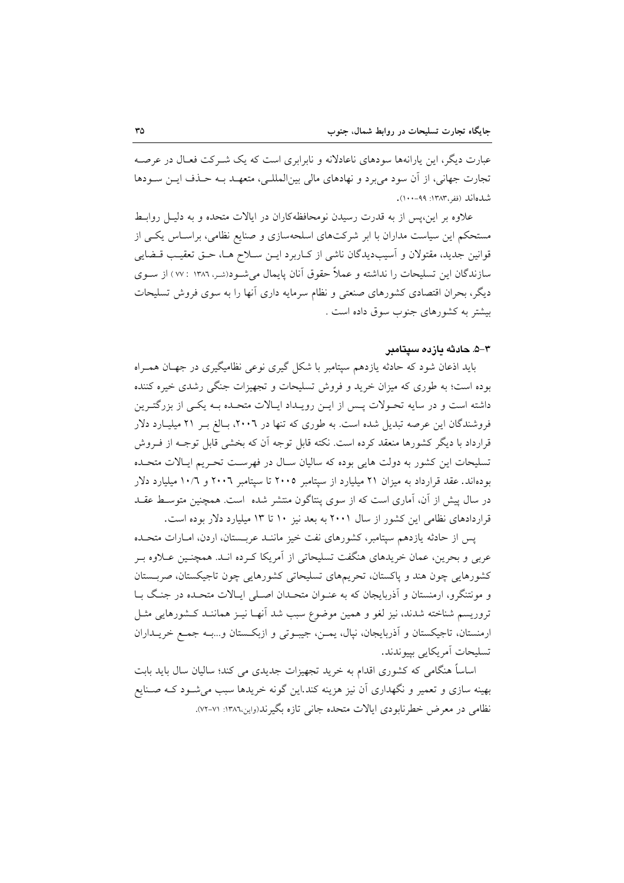عبارت دیگر، این پارانهها سودهای ناعادلانه و نابرابری است که یک شــرکت فعـال در عرصــه تجارت جهاني، از آن سود مي برد و نهادهاي مالي بين|لمللـي، متعهــد بــه حــذف ايــن ســودها شدهاند (ففي ۱۳۸۳: ۹۹-۱۰۰).

علاوه بر این،پس از به قدرت رسیدن نومحافظهکاران در ایالات متحده و به دلیـل روابـط مستحکم این سیاست مداران با ابر شرکتهای اسلحهسازی و صنایع نظامی، براسـاس یکـی از قوانین جدید، مقتولان و آسیبدیدگان ناشی از کـاربرد ایـن سـلاح هـا، حـق تعقیـب قــضایی سازندگان این تسلیحات را نداشته و عملاً حقوق آنان پایمال میشود(شر، ۱۳۸۶ : ۷۷ ) از سـوی دیگر، بحران اقتصادی کشورهای صنعتی و نظام سرمایه داری آنها را به سوی فروش تسلیحات بیشتر به کشورهای جنوب سوق داده است .

#### ۳–۵. حادثه دازده سیتامبر

باید اذعان شود که حادثه یازدهم سیتامبر با شکل گیری نوعی نظامیگیری در جهـان همـراه بوده است؛ به طوری که میزان خرید و فروش تسلیحات و تجهیزات جنگی رشدی خیره کننده داشته است و در سایه تحـولات پـس از ایـن رویـداد ایـالات متحـده بـه یکـی از بزرگتـرین فروشندگان این عرصه تبدیل شده است. به طوری که تنها در ۲۰۰۲، بـالغ بـر ۲۱ میلیـارد دلار قرارداد با دیگر کشورها منعقد کرده است. نکته قابل توجه آن که بخشی قابل توجـه از فـروش تسليحات اين كشور به دولت هايي بوده كه ساليان سـال در فهرسـت تحـريم ايـالات متحـده بودهاند. عقد قرارداد به میزان ۲۱ میلیارد از سیتامبر ۲۰۰۵ تا سیتامبر ۲۰۰٦ و ۱۰/۲ میلیارد دلار در سال پیش از آن، آماری است که از سوی پنتاگون منتشر شده است. همچنین متوسط عقـد قراردادهای نظامی این کشور از سال ۲۰۰۱ به بعد نیز ۱۰ تا ۱۳ میلیارد دلار بوده است.

يس از حادثه يازدهم سيتامبر، كشورهاي نفت خيز ماننـد عربــستان، اردن، امــارات متحـده عربي و بحرين، عمان خريدهاي هنگفت تسليحاتي از آمريكا كـرده انـد. همچنـين عــلاوه بـر کشورهایی چون هند و پاکستان، تحریمهای تسلیحاتی کشورهایی چون تاجیکستان، صربستان و مونتنگرو، ارمنستان و آذربایجان که به عنـوان متحـدان اصـلی ایـالات متحـده در جنـگ بـا تروریسم شناخته شدند، نیز لغو و همین موضوع سبب شد آنهـا نیـز هماننـد کـشورهایی مثـل ارمنستان، تاجيكستان و آذربايجان، نپال، يمـن، جيبـوتي و ازبكـستان و...بـه جمـع خريــداران تسليحات آمريكايي بييوندند.

اساساً هنگامی که کشوری اقدام به خرید تجهیزات جدیدی می کند؛ سالیان سال باید بابت بهینه سازی و تعمیر و نگهداری آن نیز هزینه کند.این گونه خریدها سبب میشـود کـه صـنایع نظامی در معرض خطرنابودی ایالات متحده جانبی تازه بگیرند(واین،۱۳۸٦: ۷۱-۷۲).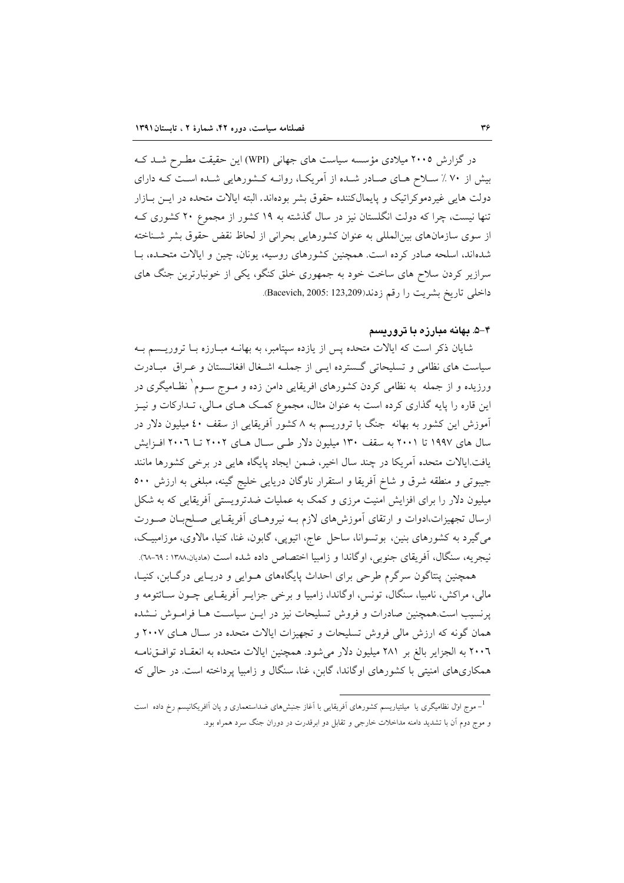در گزارش ۲۰۰۵ میلادی مؤسسه سیاست های جهانی (WPI) این حقیقت مطرح شـد کـه بیش از ۷۰٪ سلاح هـای صـادر شـده از آمریکـا، روانـه کـشورهایی شـده اسـت کـه دارای دولت هایی غیردموکراتیک و پایمالکننده حقوق بشر بودهاند. البته ایالات متحده در ایــن بــازار تنها نیست، چرا که دولت انگلستان نیز در سال گذشته به ۱۹ کشور از مجموع ۲۰ کشوری ک از سوی سازمانهای بین|لمللی به عنوان کشورهایی بحرانی از لحاظ نقض حقوق بشر شـناخته شدهاند، اسلحه صادر کرده است. همچنین کشورهای روسیه، یونان، چین و ایالات متحده، با سرازیر کردن سلاح های ساخت خود به جمهوری خلق کنگو، یکی از خونبارترین جنگ های داخلي تاريخ بشريت را رقم زدند(123,209: Bacevich, 2005: 123,209).

#### ۴–۵. بهانه مبارزه با تروریسم

شایان ذکر است که ایالات متحده پس از یازده سپتامبر، به بهانــه مبــارزه بــا تروریـــسم بــه سیاست های نظامی و تسلیحاتی گسترده ایی از جمله اشغال افغانستان و عـراق مبـادرت ورزیده و از جمله به نظامی کردن کشورهای افریقایی دامن زده و مــوج ســوم ٰ نظــامیگری در این قاره را پایه گذاری کرده است به عنوان مثال، مجموع کمک هـای مـالی، تـدارکات و نیــز آموزش این کشور به بهانه جنگ با تروریسم به ۸ کشور آفریقایی از سقف ٤٠ میلیون دلار در سال های ۱۹۹۷ تا ۲۰۰۱ به سقف ۱۳۰ میلیون دلار طبی سـال هـای ۲۰۰۲ تــا ۲۰۰۲ افــزایش یافت ایالات متحده آمریکا در چند سال اخیر، ضمن ایجاد پایگاه هایی در برخی کشورها مانند جیبوتی و منطقه شرق و شاخ آفریقا و استقرار ناوگان دریایی خلیج گینه، مبلغی به ارزش ٥٠٠ میلیون دلار را برای افزایش امنیت مرزی و کمک به عملیات ضدترویستی آفریقایی که به شکل ارسال تجهیزات،ادوات و ارتقای آموزش های لازم بـه نیروهـای آفریقـایی صـلحبـان صـورت میگیرد به کشورهای بنین، بوتسوانا، ساحل عاج، اتیوپی، گابون، غنا، کنیا، مالاوی، موزامبیک، نیجریه، سنگال، آفریقای جنوبی، اوگاندا و زامبیا اختصاص داده شده است (مادیان.۱۳۸۸: ٦٩-٦٨).

همچنین پنتاگون سرگرم طرحی برای احداث پایگاههای هـوایی و دریـایی درگـابن، کنیـا، مالي، مراكش، نامبيا، سنگال، تونس، اوگاندا، زامبيا و برخي جزايـر أفريقـايي چـون ســائتومه و پرنسیب است.همچنین صادرات و فروش تسلیحات نیز در ایــن سیاســت هــا فرامــوش نــشده همان گونه که ارزش مالی فروش تسلیحات و تجهیزات ایالات متحده در سـال هـای ۲۰۰۷ و ٢٠٠٦ به الجزاير بالغ بر ٢٨١ ميليون دلار مي شود. همچنين ايالات متحده به انعقـاد توافــقiامــه همکاریهای امنیتی با کشورهای اوگاندا، گابن، غنا، سنگال و زامبیا پرداخته است. در حالی که

<sup>-&</sup>lt;br>موج اول نظامیگری یا میلتیاریسم کشورهای اَفریقایی با اَغاز جنبش۱ای ضداستعماری و پان اَافریکانیسم رخ داده است -و موج دوم اَن با تشدید دامنه مداخلات خارجی و تقابل دو ابرقدرت در دوران جنگ سرد همراه بود.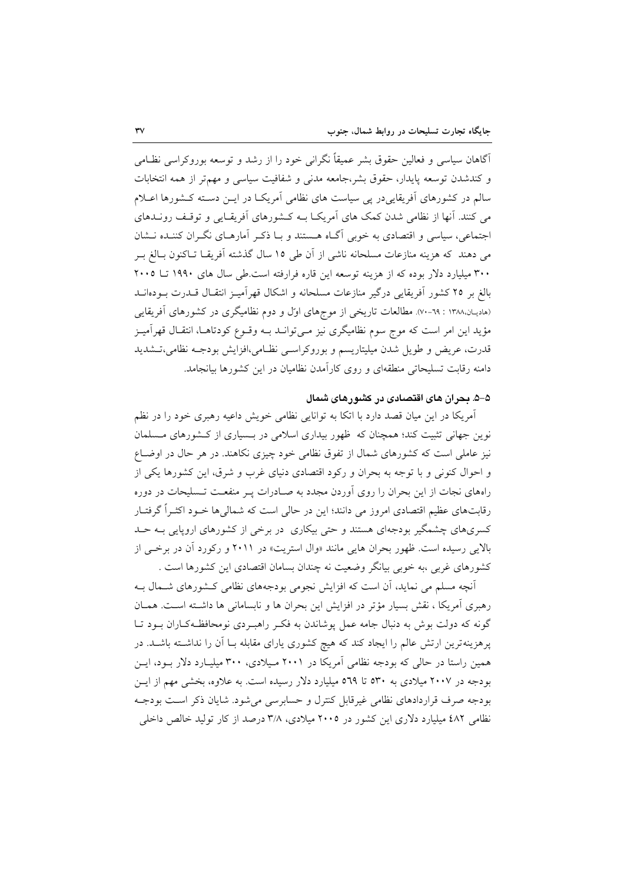آگاهان سیاسی و فعالین حقوق بشر عمیقاً نگرانی خود را از رشد و توسعه بوروکراسی نظـامی و كندشدن توسعه پايدار، حقوق بشر،جامعه مدنى و شفافيت سياسي و مهمتر از همه انتخابات سالم در کشورهای آفریقاییدر پی سیاست های نظامی آمریک در ایــن دسـته کـشورها اعــلام می کنند. آنها از نظامی شدن کمک های آمریک] بـه کـشورهای آفریقـایی و توقـف رونــدهای اجتماعی، سیاسی و اقتصادی به خوبی آگ|ه هستند و بـا ذکـر آمارهـای نگـران کننـده نــشان می دهند که هزینه منازعات مسلحانه ناشی از آن طی ۱۵ سال گذشته آفریقـا تـاکنون بـالغ بـر ۳۰۰ میلیارد دلار بوده که از هزینه توسعه این قاره فرارفته است.طی سال های ۱۹۹۰ تــا ۲۰۰۵ بالغ بر ٢٥ كشور أفريقايي درگير منازعات مسلحانه و اشكال قهر أميـز انتقــال قــدرت بــودهانــد (هادیـان.۱۳۸۸ : ٦٩-۷۰). مطالعات تاریخی از موجهای اول و دوم نظامیگری در کشورهای آفریقایی مؤيد اين امر است كه موج سوم نظاميگري نيز مـيتوانــد بــه وقــوع كودتاهــا، انتقــال قهرآميــز قدرت، عريض و طويل شدن ميليتاريسم و بوروكراسبي نظـامي،افزايش بودجـه نظامي،تــشديد دامنه رقابت تسلیحاتی منطقهای و روی کارآمدن نظامیان در این کشورها بیانجامد.

## ۵–۵. بحران های اقتصادی در کشورهای شمال

آمریکا در این میان قصد دارد با اتکا به توانایی نظامی خویش داعیه رهبری خود را در نظم نوین جهانی تثبیت کند؛ همچنان که ظهور بیداری اسلامی در بسیاری از کشورهای مسلمان نیز عاملی است که کشورهای شمال از تفوق نظامی خود چیزی نکاهند. در هر حال در اوضـاع و احوال کنونی و با توجه به بحران و رکود اقتصادی دنیای غرب و شرق، این کشورها یکی از راههای نجات از این بحران را روی اَوردن مجدد به صـادرات پـر منفعـت تـسلیحات در دوره رقابتهای عظیم اقتصادی امروز می دانند؛ این در حالی است که شمالی ها خــود اکثــراً گرفتــار کسریهای چشمگیر بودجهای هستند و حتی بیکاری در برخی از کشورهای اروپایی بـه حــد بالايي رسيده است. ظهور بحران هايي مانند «وال استريت» در ٢٠١١ و ركورد آن در برخي از کشورهای غربی ،به خوبی بیانگر وضعیت نه چندان بسامان اقتصادی این کشورها است .

آنچه مسلم می نماید، آن است که افزایش نجومی بودجههای نظامی کشورهای شـمال بـه رهبری آمریکا ، نقش بسیار مؤتر در افزایش این بحران ها و نابسامانی ها داشته است. همـان گونه که دولت بوش به دنبال جامه عمل پوشاندن به فکر راهبردی نومحافظهکاران بـود تـا پرهزینهترین ارتش عالم را ایجاد کند که هیچ کشوری یارای مقابله بــا اَن را نداشــته باشــد. در همین راستا در حالی که بودجه نظامی آمریکا در ۲۰۰۱ میلادی، ۳۰۰ میلیـارد دلار بـود، ایـن بودجه در ۲۰۰۷ میلادی به ۵۳۰ تا ۵۶۹ میلیارد دلار رسیده است. به علاوه، بخشی مهم از ایــن بودجه صرف قراردادهای نظامی غیرقابل کنترل و حسابرسی میشود. شایان ذکر است بودجـه نظامی ٤٨٢ میلیارد دلاری این کشور در ٢٠٠٥ میلادی، ٣/٨ درصد از کار تولید خالص داخلی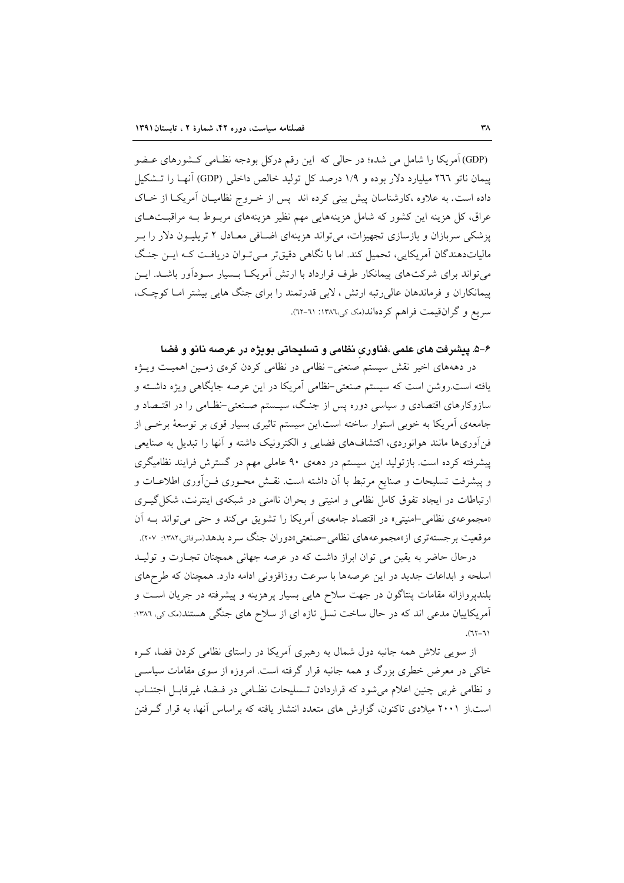(GDP) آمریکا را شامل می شده؛ در حالی که این رقم درکل بودجه نظـامی کـشورهای عـضو پیمان ناتو ۲۹۶ میلیارد دلار بوده و ۱/۹ درصد کل تولید خالص داخلی (GDP) آنهـا را تــشکیل داده است. به علاوه ،کارشناسان پیش بینی کرده اند پس از خـروج نظامیـان آمریکـا از خـاک عراق، کل هزینه این کشور که شامل هزینههایی مهم نظیر هزینههای مربـوط بـه مراقبـتهـای یزشکی سربازان و بازسازی تجهیزات، می تواند هزینهای اضافی معـادل ۲ تریلیـون دلار را بـر مالیاتدهندگان آمریکایی، تحمیل کند. اما با نگاهی دقیقتر می تـوان دریافـت کـه ایــن جنـگ میتواند برای شرکتهای پیمانکار طرف قرارداد با ارتش آمریک بسمیار سودآور باشـد. ایــن پیمانکاران و فرماندهان عالی رتبه ارتش ، لابی قدرتمند را برای جنگ هایی بیشتر امـا کوچـک، سريع و گران قيمت فراهم كردهاند(مك كي،١٣٨٦: ٦١-٦٢).

## ۶–۵. پیشرفت های علمی ،فناوری نظامی و تسلیحاتی بویژه در عرصه نانو و فضا

در دهههای اخیر نقش سیستم صنعتی-نظامی در نظامی کردن کرهی زمـین اهمیـت ویـژه یافته است.روشن است که سیستم صنعتی-نظامی آمریکا در این عرصه جایگاهی ویژه داشته و سازوکارهای اقتصادی و سیاسی دوره پس از جنگ، سیــستم صــنعتی-نظــامی را در اقتــصاد و جامعهی آمریکا به خوبی استوار ساخته است.این سیستم تاثیری بسیار قوی بر توسعهٔ برخبی از فن آوریها مانند هوانوردی، اکتشافهای فضایی و الکترونیک داشته و آنها را تبدیل به صنایعی پیشرفته کرده است. بازتولید این سیستم در دههی ۹۰ عاملی مهم در گسترش فرایند نظامیگری و پیشرفت تسلیحات و صنایع مرتبط با آن داشته است. نقــش محــوری فــن[وری اطلاعــات و ارتباطات در ایجاد تفوق کامل نظامی و امنیتی و بحران ناامنی در شبکهی اینترنت، شکل گیـری «مجموعهى نظامي-امنيتي» در اقتصاد جامعهى أمريكا را تشويق مي كند و حتى مي تواند بـه أن موقعیت برجستهتری از«مجموعههای نظامی-صنعتی»دوران جنگ سرد بدهد(سرفاتی،۱۳۸۲: ۲۰۷).

درحال حاضر به يقين مي توان ابراز داشت كه در عرصه جهاني همچنان تجـارت و توليــد اسلحه و ابداعات جدید در این عرصهها با سرعت روزافزونی ادامه دارد. همچنان که طرحهای بلندپروازانه مقامات پنتاگون در جهت سلاح هایی بسیار پرهزینه و پیشرفته در جریان است و آمریکاییان مدعی اند که در حال ساخت نسل تازه ای از سلاح های جنگی هستند(مک کی، ۱۳۸٦:  $(1 - 71)$ .

از سویی تلاش همه جانبه دول شمال به رهبری آمریکا در راستای نظامی کردن فضا، کـره خاکی در معرض خطری بزرگ و همه جانبه قرار گرفته است. امروزه از سوی مقامات سیاسبی و نظامی غربی چنین اعلام می شود که قراردادن تـسلیحات نظـامی در فـضا، غیرقابـل اجتنـاب است.از ۲۰۰۱ میلادی تاکنون، گزارش های متعدد انتشار یافته که براساس آنها، به قرار گرفتن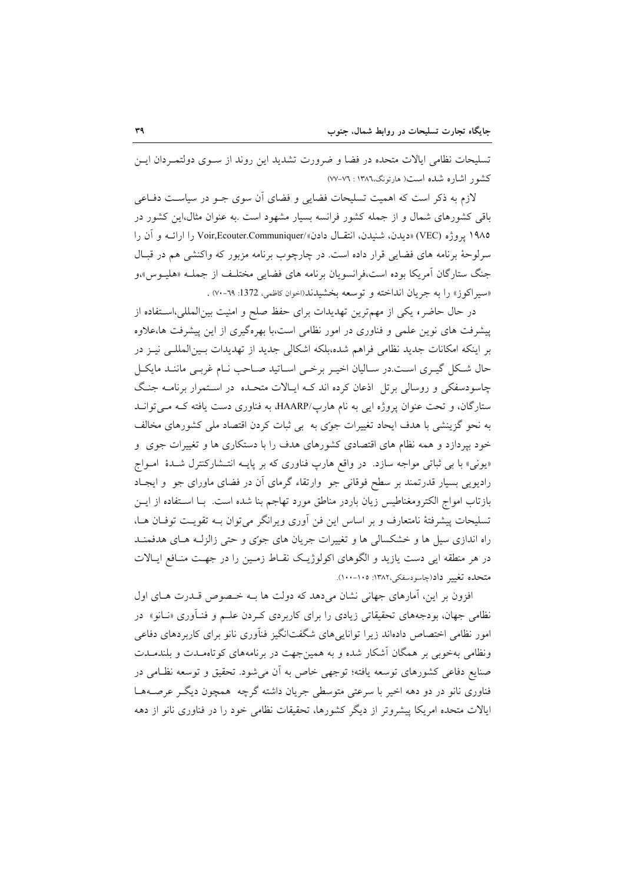تسلیحات نظامی ایالات متحده در فضا و ضرورت تشدید این روند از سـوی دولتمـردان ایـن کشور اشاره شده است( هارتونگ،١٣٨٦ : ٧٦-٧٧)

لازم به ذکر است که اهمیت تسلیحات فضایی و فضای اّن سوی جــو در سیاســت دفــاعی باقی کشورهای شمال و از جمله کشور فرانسه بسیار مشهود است .به عنوان مثال،این کشور در ۱۹۸۵ پروژه (VEC) «ديدن، شنيدن، انتقـال دادن»/Voir,Ecouter.Communiquer را ارائــه و آن را سرلوحهٔ برنامه های فضایی قرار داده است. در چارچوب برنامه مزبور که واکنشی هم در قبـال جنگ ستارگان آمريكا بوده است،فرانسويان برنامه هاي فضايي مختلـف از جملـه «هليـوس»و «سير اكوز» را به جريان انداخته و توسعه بخشيدند(اخوان كاظمى، 1372: ٦٩-٧٠) .

در حال حاضر، یکی از مهمترین تهدیدات برای حفظ صلح و امنیت بینالمللی،استفاده از پیشرفت های نوین علمی و فناوری در امور نظامی است،با بهرهگیری از این پیشرفت ها،علاوه بر اینکه امکانات جدید نظامی فراهم شده،بلکه اشکالی جدید از تهدیدات بـینالمللـی نیـز در حال شـكل گيـرى اسـت.در سـاليان اخيـر برخـي اسـاتيد صـاحب نـام غربـي ماننـد مايكـل چاسودسفکی و روسالی برتل اذعان کرده اند کـه ایـالات متحـده در اسـتمرار برنامــه جنـگ ستارگان، و تحت عنوان پروژه ایی به نام هارپ/HAARP، به فناوری دست یافته کـه مـی توانـد به نحو گزینشی با هدف ایحاد تغییرات جوٌی به بی ثبات کردن اقتصاد ملی کشورهای مخالف خود بیردازد و همه نظام های اقتصادی کشورهای هدف را با دستکاری ها و تغییرات جوی و «یونی» با بی ثباتی مواجه سازد. در واقع هارپ فناوری که بر پایـه انتـشارکنترل شـدهٔ امـواج رادیویی بسیار قدرتمند بر سطح فوقانی جو ۖ وارتقاء گرمای اَن در فضای ماورای جو ۖ و ایجـاد بازتاب امواج الكترومغناطيس زيان باردر مناطق مورد تهاجم بنا شده است. بـا اسـتفاده از ايــن تسلیحات پیشرفتهٔ نامتعارف و بر اساس این فن آوری ویرانگر میتوان بــه تقویــت توفــان هــا، راه اندازی سیل ها و خشکسالی ها و تغییرات جریان های جوی و حتی زالزلـه هـای هدفمنـد در هر منطقه ایی دست یازید و الگوهای اکولوژیک نقـاط زمـین را در جهـت منـافع ایـالات متحلَّده تغيير داد(چاسودسفكي،١٣٨٢: ١٠٥-١٠٠).

افزون بر این، آمارهای جهانی نشان می دهد که دولت ها بـه خـصوص قـدرت هـای اول نظامی جهان، بودجههای تحقیقاتی زیادی را برای کاربردی کـردن علـم و فنـآوری «نـانو» در امور نظامی اختصاص دادماند زیرا توانایی های شگفتانگیز فنآوری نانو برای کاربردهای دفاعی ونظامی بهخوبی بر همگان آشکار شده و به همین جهت در برنامههای کوتاهمـدت و بلندمـدت صنایع دفاعی کشورهای توسعه یافته؛ توجهی خاص به آن می شود. تحقیق و توسعه نظـامی در فناوری نانو در دو دهه اخیر با سرعتی متوسطی جریان داشته گرچه همچون دیگ عرصـههـا ایالات متحده امریکا پیشروتر از دیگر کشورها، تحقیقات نظامی خود را در فناوری نانو از دهه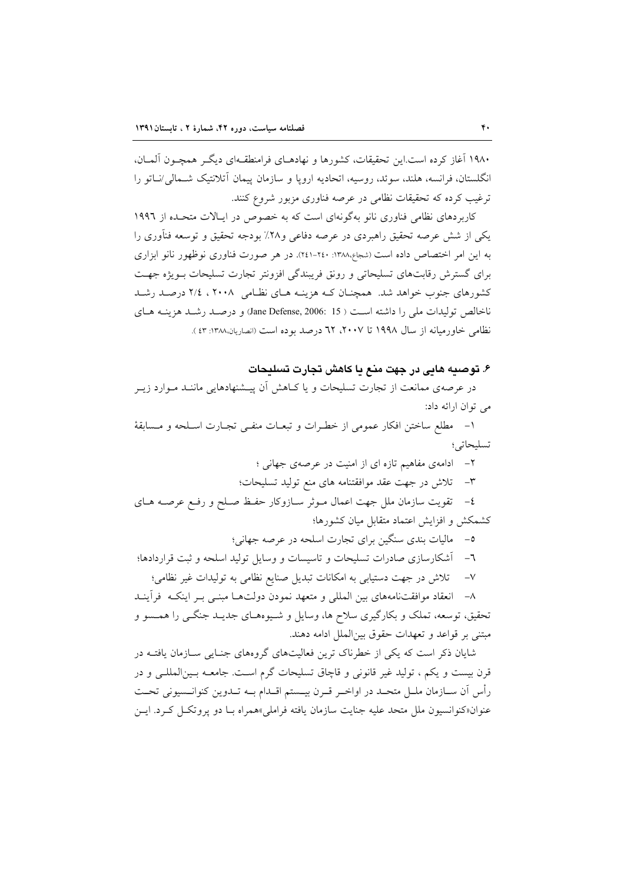۱۹۸۰ آغاز کرده است.این تحقیقات، کشورها و نهادهـای فرامنطقـهای دیگـر همچـون آلمــان، انگلستان، فرانسه، هلند، سوئد، روسیه، اتحادیه اروپا و سازمان پیمان آتلانتیک شـمالی/نــاتو را ترغیب کرده که تحقیقات نظامی در عرصه فناوری مزبور شروع کنند.

کاربردهای نظامی فناوری نانو بهگونهای است که به خصوص در ایـالات متحـده از ۱۹۹۲ یکی از شش عرصه تحقیق راهبردی در عرصه دفاعی و۲۸٪ بودجه تحقیق و توسعه فنآوری را به این امر اختصاص داده است (شجاع،۱۳۸۸: ۲٤۰-۲٤۱). در هر صورت فناوری نوظهور نانو ابزاری برای گسترش رقابتهای تسلیحاتی و رونق فریبندگی افزونتر تجارت تسلیحات بـویژه جهـت کشورهای جنوب خواهد شد. همچنــان کــه هزینــه هــای نظــامی ۲۰۰۸ ، ۲/۶ درصــد رشــد ناخالص تولیدات ملی را داشته است ( Jane Defense, 2006: 15) و درصـد رشـد هزینــه هـای نظامي خاورميانه از سال ١٩٩٨ تا ٢٠٠٧، ٦٢ درصد بوده است (انصاريان،١٣٨٨: ٤٣ ).

## ۶. توصيه هايي در جهت منع يا كاهش تجارت تسليحات

در عرصهی ممانعت از تجارت تسلیحات و یا کـاهش آن پیــشنهادهایی ماننــد مــوارد زیــر می توان ارائه داد:

١- مطلع ساختن افكار عمومي از خطـرات و تبعـات منفـي تجـارت اسـلحه و مـسابقة تسلىحاتى؛

۲- ادامهی مفاهیم تازه ای از امنیت در عرصهی جهانی ؛

٣- تلاش در جهت عقد موافقتنامه های منع تولید تسلیحات؛

٤- تقويت سازمان ملل جهت اعمال مـوثر سـازوكار حفـظ صـلح و رفـع عرصـه هـاى كشمكش و افزايش اعتماد متقابل ميان كشورها؛

٥– ماليات بندي سنگين براي تجارت اسلحه در عرصه جهاني؛

٦- آشکارسازی صادرات تسلیحات و تاسیسات و وسایل تولید اسلحه و ثبت قراردادها؛

تلاش در جهت دستیابی به امکانات تبدیل صنایع نظامی به تولیدات غیر نظامی؛  $-V$ 

٨- انعقاد موافقتنامههای بین المللی و متعهد نمودن دولتها مبنـی بـر اینکـه فرأینـد تحقیق، توسعه، تملک و بکارگیری سلاح ها، وسایل و شـیوههـای جدیـد جنگـی را همـسو و مبتني بر قواعد و تعهدات حقوق بينالملل ادامه دهند.

شایان ذکر است که یکی از خطرناک ترین فعالیتهای گروههای جنایی سازمان یافتـه در قرن بيست و يكم ، توليد غير قانوني و قاچاق تسليحات گرم است. جامعـه بـين|لمللـي و در رأس اَن ســازمان ملــل متحــد در اواخــر قــرن بيــستم اقــدام بــه تــدوين كنوانــسيوني تحــت عنوان«کنوانسیون ملل متحد علیه جنایت سازمان یافته فراملی»همراه بـا دو پروتکـل کـرد. ایـن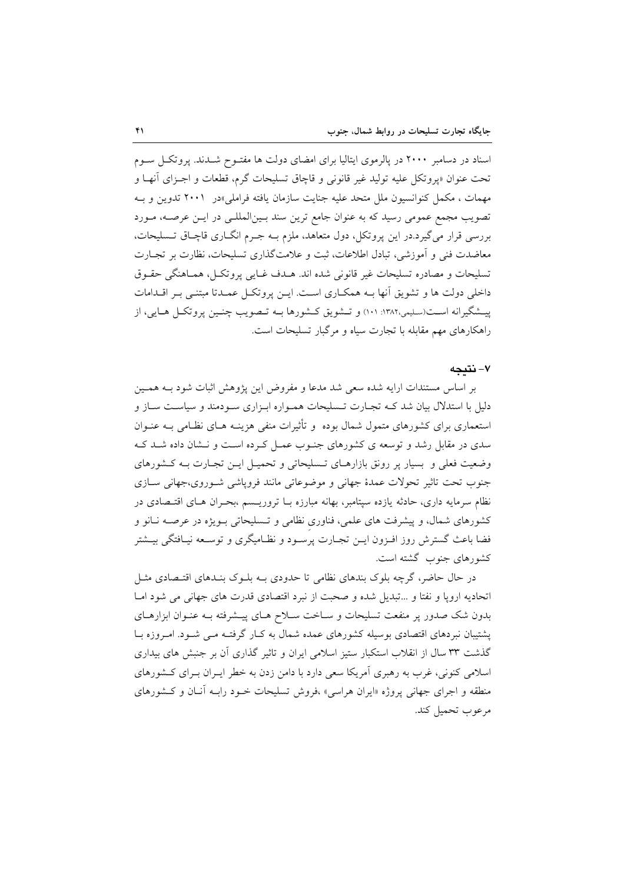اسناد در دسامبر ۲۰۰۰ در پالرموی ایتالیا برای امضای دولت ها مفتـوح شـدند. پروتکـل سـوم تحت عنوان «پروتکل عليه توليد غير قانوني و قاچاق تسليحات گرم، قطعات و اجـزاي أنهـا و مهمات ، مکمل کنوانسیون ملل متحد علیه جنایت سازمان یافته فراملی»در ۲۰۰۱ تدوین و بـه تصویب مجمع عمومی رسید که به عنوان جامع ترین سند بـینالمللـی در ایـن عرصـه، مـورد بررسی قرار میگیرد.در این پروتکل، دول متعاهد، ملزم بـه جـرم انگــاری قاچـاق تــسليحات، معاضدت فنی و آموزشی، تبادل اطلاعات، ثبت و علامتگذاری تسلیحات، نظارت بر تجـارت تسليحات و مصادره تسليحات غير قانوني شده اند. هـدف غـايي پروتكـل، همـاهنگي حقـوق داخلی دولت ها و تشویق آنها بـه همکـاری اسـت. ایــن یروتکــل عمــدتا مبتنــی بــر اقــدامات پیشگیرانه است(سلیمی،۱۳۸۲: ۱۰۱) و تـشویق کـشورها بــه تـصویب چنـین پروتکـل هـایی، از راهکارهای مهم مقابله با تجارت سیاه و مرگبار تسلیحات است.

## ٧- نتىجە

بر اساس مستندات ارایه شده سعی شد مدعا و مفروض این پژوهش اثبات شود بـه همـین دلیل با استدلال بیان شد کـه تجـارت تـسلیحات همـواره ابـزاری سـودمند و سیاسـت سـاز و استعماری برای کشورهای متمول شمال بوده ً و تأثیرات منفی هزینـه هـای نظـامی بـه عنـوان سدی در مقابل رشد و توسعه ی کشورهای جنوب عمـل کـرده اسـت و نـشان داده شـد کـه وضعیت فعلی و بسیار پر رونق بازارهـای تـسلیحاتی و تحمیـل ایـن تجـارت بـه كـشورهای جنوب تحت تاثیر تحولات عمدهٔ جهانی و موضوعاتی مانند فروپاشی شوروی،جهانی سازی نظام سرمایه داری، حادثه یازده سپتامبر، بهانه مبارزه بـا تروریـسم ،بحـران هـای اقتـصادی در کشورهای شمال، و پیشرفت های علمی، فناوری نظامی و تـسلیحاتی بـویژه در عرصـه نـانو و فضا باعث گسترش روز افـزون ايــن تجــارت پرســود و نظــاميگري و توســعه نيــافتگي بيــشتر كشورهاي جنوب گشته است.

در حال حاضر، گرچه بلوک بندهای نظامی تا حدودی بـه بلـوک بنـدهای اقتـصادی مثـل اتحادیه اروپا و نفتا و …تبدیل شده و صحبت از نبرد اقتصادی قدرت های جهانی می شود امـا بدون شک صدور پر منفعت تسلیحات و سـاخت سـلاح هـای پیـشرفته بـه عنـوان ابزارهـای پشتیبان نبردهای اقتصادی بوسیله کشورهای عمده شمال به کـار گرفتـه مـی شـود. امـروزه بـا گذشت ٣٣ سال از انقلاب استکبار ستیز اسلامی ایران و تاثیر گذاری آن بر جنبش های بیداری اسلامی کنونی، غرب به رهبری آمریکا سعی دارد با دامن زدن به خطر ایـران بـرای کــشورهای منطقه و اجرای جهانی پروژه «ایران هراسی» ،فروش تسلیحات خـود رابـه آنـان و كـشورهای مرعوب تحميل كند.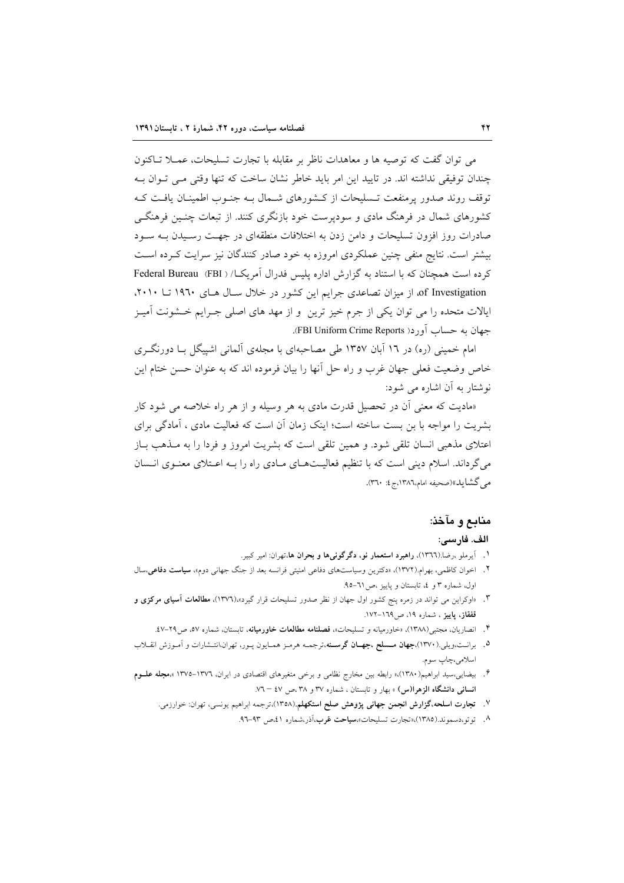می توان گفت که توصیه ها و معاهدات ناظر بر مقابله با تجارت تسلیحات، عمــلا تــاکنون چندان توفیقی نداشته اند. در تایید این امر باید خاطر نشان ساخت که تنها وقتی مے توان به توقف روند صدور پرمنفعت تـسليحات از كـشورهاى شـمال بـه جنـوب اطمينـان يافـت كـه کشورهای شمال در فرهنگ مادی و سودیرست خود بازنگری کنند. از تبعات چنسن فرهنگے صادرات روز افزون تسلیحات و دامن زدن به اختلافات منطقهای در جهت رسـیدن بـه سـود بیشتر است. نتایج منفی چنین عملکردی امروزه به خود صادر کنندگان نیز سرایت کـرده اسـت كرده است همچنان كه با استناد به گزارش اداره پليس فدرال آمريك) ( Federal Bureau (FBI) of Investigation، از میزان تصاعدی جرایم این کشور در خلال سـال هـای ۱۹٦۰ تــا ۲۰۱۰، ایالات متحده را می توان یکی از جرم خیز ترین ً و از مهد های اصلی جـرایم خـشونت آمیـز جهان به حساب أورد( FBI Uniform Crime Reports).

امام خمینی (ره) در ۱۲ آبان ۱۳۵۷ طی مصاحبهای با مجلهی آلمانی اشپیگل بـا دورنگـری خاص وضعیت فعلی جهان غرب و راه حل أنها را بیان فرموده اند که به عنوان حسن ختام این نوشتار به آن اشاره می شود:

«مادیت که معنی آن در تحصیل قدرت مادی به هر وسیله و از هر راه خلاصه می شود کار بشریت را مواجه با بن بست ساخته است؛ اینک زمان آن است که فعالیت مادی ، آمادگی برای اعتلای مذهبی انسان تلقی شود. و همین تلقی است که بشریت امروز و فردا را به مــذهب بــاز میگرداند. اسلام دینی است که با تنظیم فعالیتهای مادی راه را بـه اعـتلای معنـوی انـسان مبر گشاید»(صحیفه امام،۱۳۸۶،ج ٤: ۳۶۰).

# منابع و مآخذ:

## الف. فارسى:

- ا . آیرملو ،رضا.(١٣٦٦)، **راهبرد استعمار نو، دگرگونیها و بحران ها**،تهران: امیر کبیر.
- ۲. اخوان کاظمی، بهرام.(۱۳۷۲)، «دکترین وسیاستهای دفاعی امنیتی فرانسه بعد از جنگ جهانی دوم»، **سیاست دفاعی**،سال اول، شماره ٣ و ٤، تابستان و ياييز ،ص ٦١-٩٥.
- ۳. «اوکراین می تواند در زمره پنج کشور اول جهان از نظر صدور تسلیحات قرار گیرد»،(۱۳۷۲)، **مطالعات آسیای مرکزی و** قفقاز، پاییز ، شماره ۱۹، ص۱۳۸–۱۷۲.
	- ۴. انصاریان، مجتبی(۱۳۸۸)، «خاورمیانه و تسلیحات»، **فصلنامه مطالعات خاورمیانه**، تابستان، شماره ٥٧، ص۲۹–٤٧.
- ۵. برانـت،ویلی.(۱۳۷۰)،**جهان مـسلح ،جهــان گرسـنه**،ترجمــه هرمـز همـایون پـور، تهران،انتـشارات و اَمـوزش انقــلاب اسلامي،چاپ سوم.
- ۶. بیضایی،سید ابراهیم(۱۳۸۰)،« رابطه بین مخارج نظامی و برخی متغیرهای اقتصادی در ایران، ۱۳۷۲–۱۳۷۵ »،م**جله علــوم** انسانی دانشگاه الزهرا(س) » بهار و تابستان ، شماره ۳۷ و ۳۸ ،ص ٤٧ – ۷.
	- ۷. تجارت اسلحه،گزارش انجمن جهانی پژوهش صلح استکهلم.(۱۳۵۸)،ترجمه ابراهیم یونسی، تهران: خوارزمی.
		- ۸. توتو،دسموند.(۱۳۸۵)،«تجارت تسليحات»،**سياحت غرب**،آذر،شماره ٤١،ص ٩٣-٩٦.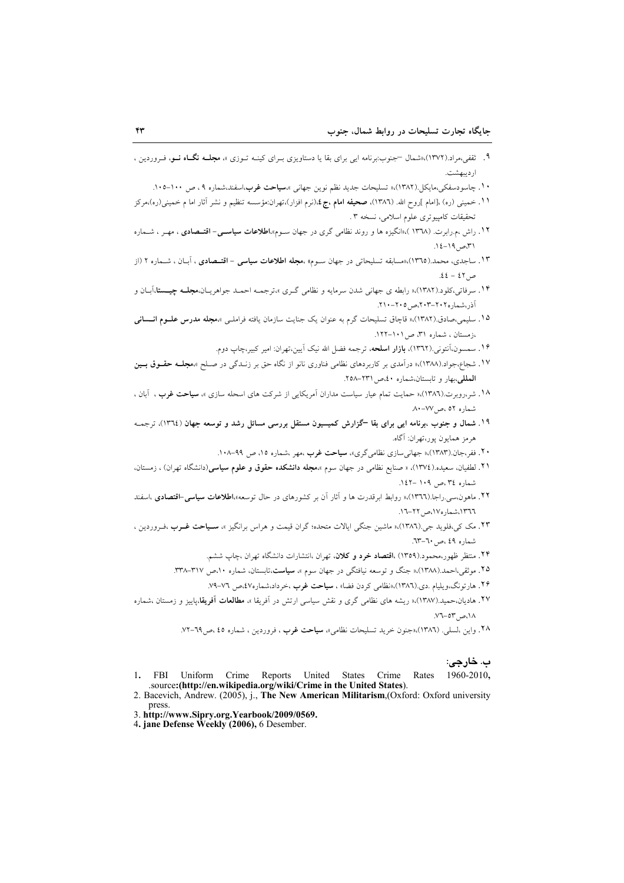- ۹. ثقفی،مراد.(۱۳۷۲)،اشمال —جنوب:برنامه ایی برای بقا یا دستاویزی بـرای کینــه تــوزی »، مجلــه فگــاه نــو، فــروردین ، ارديبهشت.
	- ۱۰. چاسودسفکی،مایکل.(۱۳۸۲)،« تسلیحات جدید نظم نوین جهانی »**،سیاحت غرب**،اسفند،شماره ۹، ص ۱۰۰−۱۰۵.
- .<br>۱۱ ـ خميني (ره) ،[امام ]روح الله. (١٣٨٦)، **صحيفه امام ،ج ٤**،(نرم افزار)،تهران:مؤسسه تنظيم و نشر آثار اما م خميني(ره)،مركز تحقيقات كامييوتري علوم اسلامي، نسخه ٣.
- ۱۲. راش ،م.رابرت. (۱۳۷۸).«انگیزه ها و روند نظامی گری در جهان سـوم»،**اطلاعات سیاسـی- اقتــصادی** ، مهـر ، شــماره ٣١،ص ١٩-١٤.
- ۱۳. ساجدی، محمد.(۱۳٦٥)،«مسابقه تسلیحاتی در جهان سـوم» ،**مجله اطلاعات سیاسی اقتــصادی** ، اَبــان ، شــماره ۲ (از  $.22 - 23.$
- ۱۴. سرفاتی،کلود.(۱۳۸۲)،« رابطه ی جهانی شدن سرمایه و نظامی گـری »،ترجمــه احمــد جواهریــان،**مجلــه چیـــــتا**،آبــان و آذر،شماره۲۰۲–۲۰۲،ص ۲۰۵–۲۱۰.
- ۱۵. سلیمی،صادق.(۱۳۸۲)،« قاچاق تسلیحات گرم به عنوان یک جنایت سازمان یافته فراملـی »،م**جله مدرس علــوم انـــسانی** ،زمستان ، شماره ۳۱ ص ۱۰۱-۱۲۲.
	- ۱۶. سمسون،آنتونی.(۱۳٦۲)، **بازار اسلحه**، ترجمه فضل الله نیک آیین،تهران: امیر کبیر،چاپ دوم.
- ۱۷. شجاع،جواد.(۱۳۸۸).« درآمدی بر کاربردهای نظامی فناوری نانو از نگاه حق بر زنـدگی در صـلح »،مجلــه حقــوق بــین المطلى،بهار وتابستان،شماره ٤٠،ص ٢٣١-٢٥٨.
- ۱۸. شر،روبرت.(۱۳۸٦)،« حمایت تمام عیار سیاست مداران اَمریکایی از شرکت های اسحله سازی »، **سیاحت غر**ب ، اَبان ، شماره ٥٢، ص١٧٧-٨٠
- ۱۹. شمال و جنوب ،برنامه ایی برای بقا گزارش کمیسیون مستقل بررسی مسائل رشد و توسعه جهان (١٣٦٤)، ترجمــه هرمز همايون يور،تهران: آگاه.
	- ۲۰. ففر،جان.(۱۳۸۳)،« جهانی سازی نظامی گری»، **سیاحت غرب** ،مهر ،شماره ۱۵، ص ۹۹–۱۰۸.
- ۲۱. لطفیان، سعیده.(١٣٧٤)، « صنایع نظامی در جهان سوم »،مجله دانشکده حقوق و علوم سیاسی(دانشگاه تهران) ، زمستان، شماره ٣٤،ص ١٠٩ -١٤٢.
- ۲۲. ماهون،سبی.راجا.(۱۳٦٦)،« روابط ابرقدرت ها و آثار آن بر کشورهای در حال توسعه»،**اطلاعات سیاسی-اقتصادی** ،اسفند ١٣٦٦، شماره ١٧، ص ٢٢-١٦.
- ۲۳. مک ک<sub>م</sub>،فلوید جی.(۱۳۸٦)،« ماشین جنگی ایالات متحده؛ گران قیمت و هراس برانگیز »، **سـیاحت غــرب** ،فــروردین ، شماره ٤٩، ص ٦٠-٦٣.
	- ۲۴. منتظر ظهور،محمود.(۱۳۵۹) ،ا**قتصاد خرد و کلان**، تهران ،انتشارات دانشگاه تهران ،چاپ ششم.
	- ۲۵. موثقی،احمد.(۱۳۸۸)،« جنگ و توسعه نیافتگی در جهان سوم »، **سیاست**،تابستان، شماره ۲۰،ص ۳۱۷–۳۳۸.
		- ۲۶. هارتونگ،ویلیام .دی.(۱۳۸٦)،«نظامی کردن فضا» ، **سیاحت غرب** ،خرداد،شماره۷*،من ۷*۱–۷۹.
- ۲۷. هادیان،حمید.(۱۳۸۷)،« ریشه های نظامی گری و نقش سیاسی ارتش در اَفریقا »، **مطالعات اَفریقا**،پاییز و زمستان ،شماره  $V1-0Y_0 \in \Lambda$ 
	- ۲۸. واین ،لسلی. (۱۳۸۲)،«جنون خرید تسلیحات نظامی»، **سیاحت غرب** ، فروردین ، شماره ٤٥ ،ص٦٩-٧٢.

#### ب. خارجي:

- $1.$  FBI Uniform Crime Reports United States Crime Rates 1960-2010, .source:(http://en.wikipedia.org/wiki/Crime in the United States).
- 2. Bacevich, Andrew. (2005), j., The New American Militarism, (Oxford: Oxford university press
- 3. http://www.Sipry.org.Yearbook/2009/0569.
- 4. jane Defense Weekly (2006), 6 Desember.